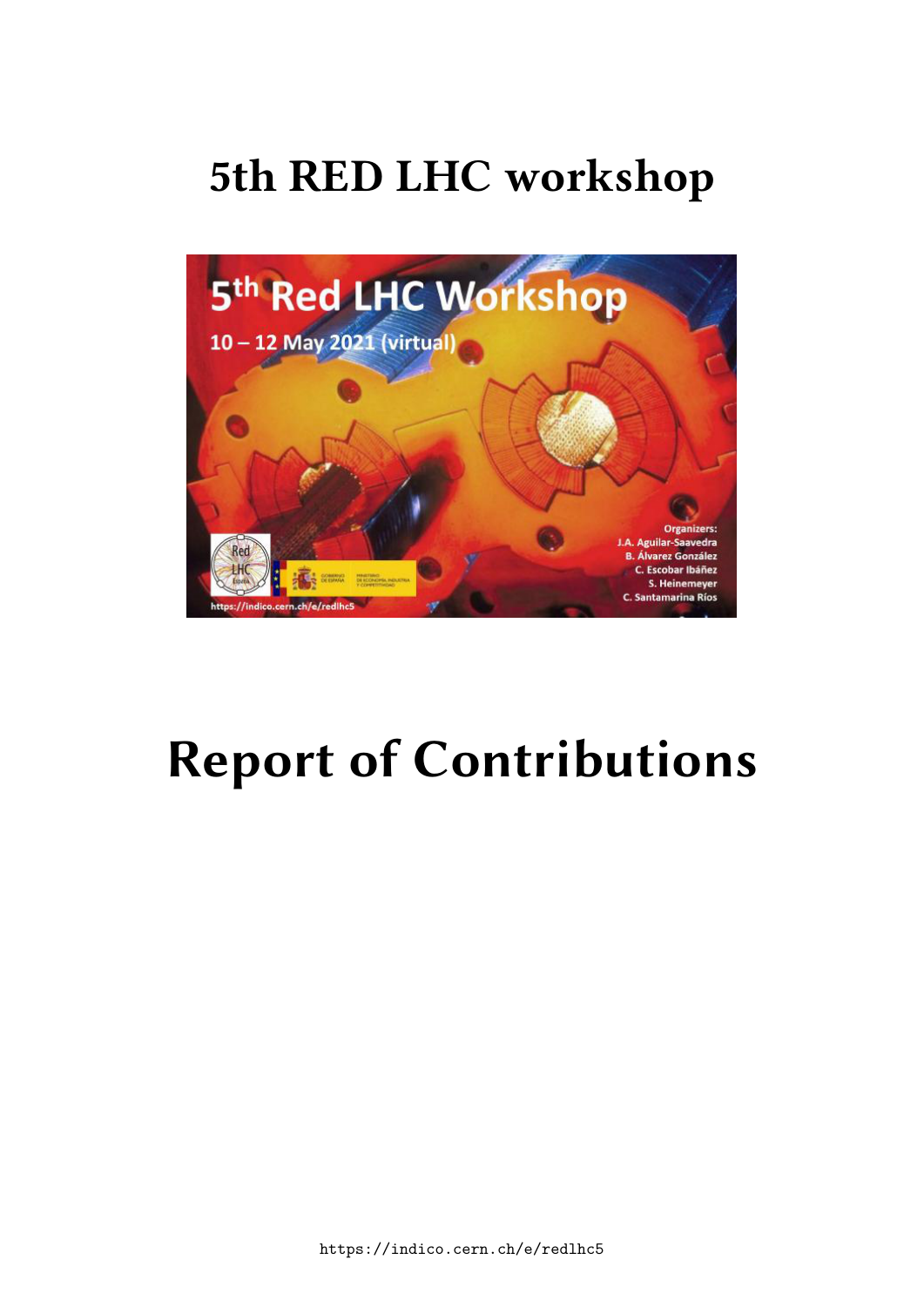## **5th RED LHC workshop**



# **Report of Contributions**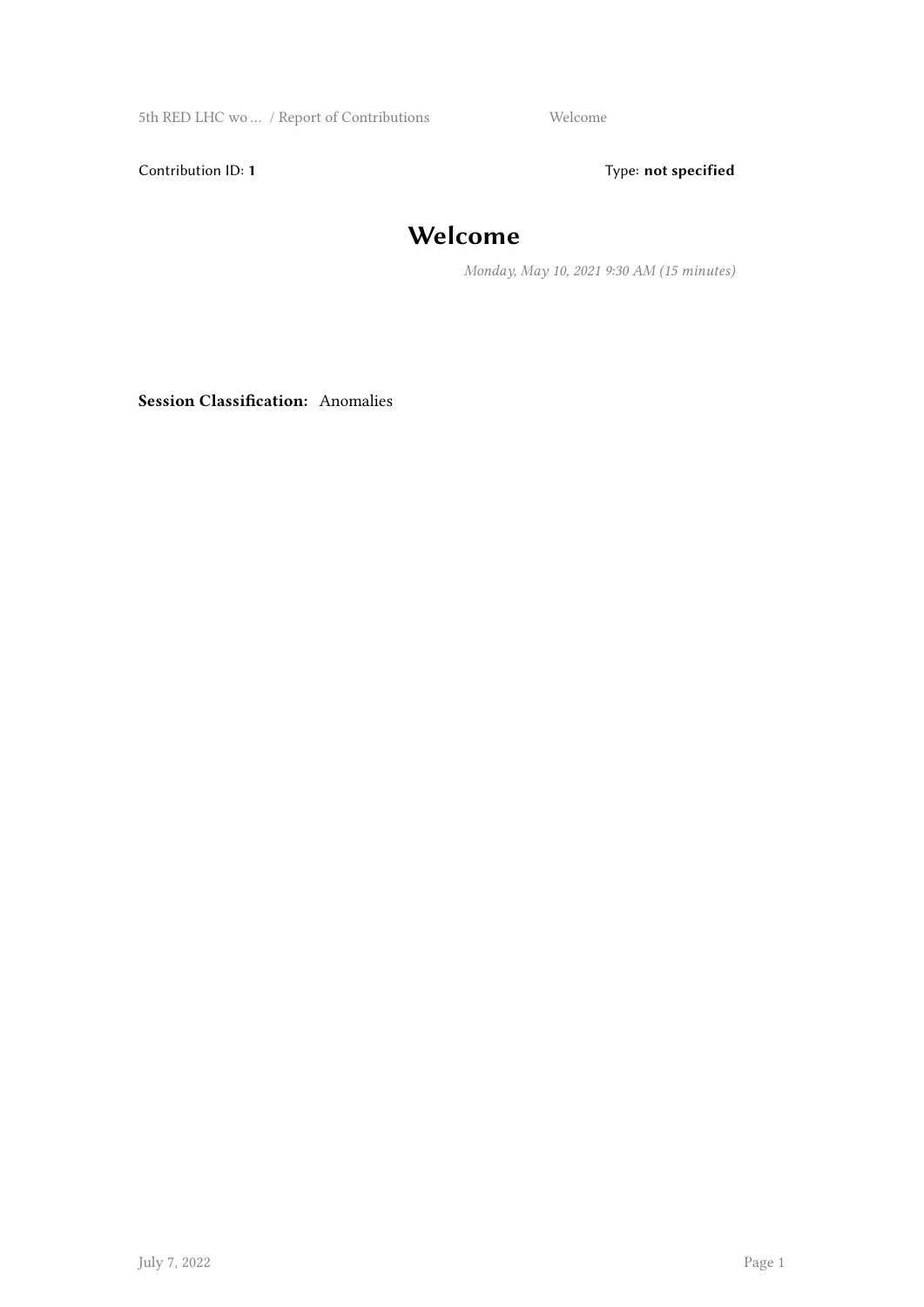5th RED LHC wo … / Report of Contributions Welcome

Contribution ID: 1 Type: **not specified** 

## **Welcome**

*Monday, May 10, 2021 9:30 AM (15 minutes)*

**Session Classification:** Anomalies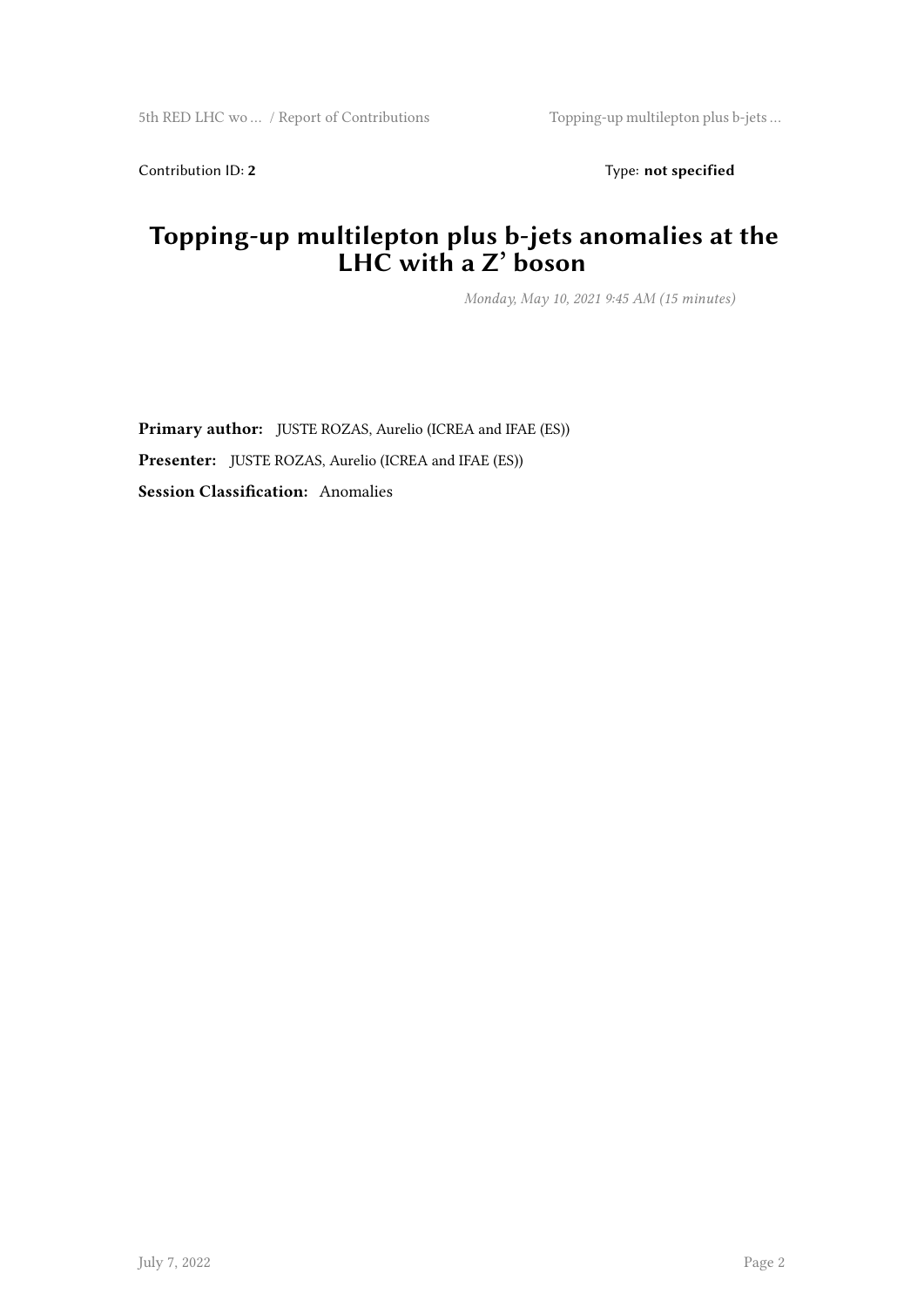Contribution ID: 2 Type: **not specified** 

#### **Topping-up multilepton plus b-jets anomalies at the LHC with a Z' boson**

*Monday, May 10, 2021 9:45 AM (15 minutes)*

**Primary author:** JUSTE ROZAS, Aurelio (ICREA and IFAE (ES)) **Presenter:** JUSTE ROZAS, Aurelio (ICREA and IFAE (ES)) **Session Classification:** Anomalies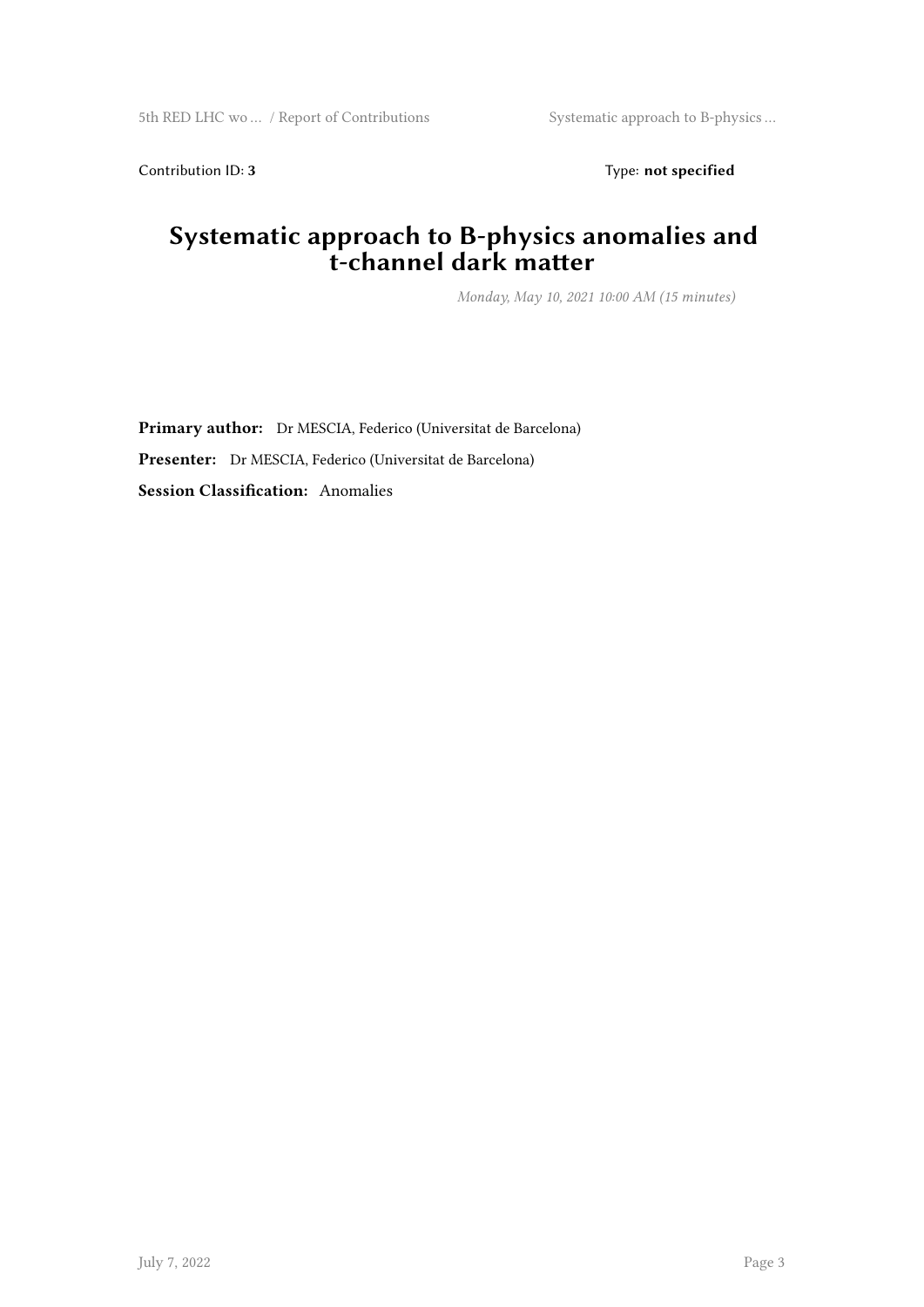Contribution ID: 3 Type: **not specified** 

#### **Systematic approach to B-physics anomalies and t-channel dark matter**

*Monday, May 10, 2021 10:00 AM (15 minutes)*

**Primary author:** Dr MESCIA, Federico (Universitat de Barcelona) **Presenter:** Dr MESCIA, Federico (Universitat de Barcelona) **Session Classification:** Anomalies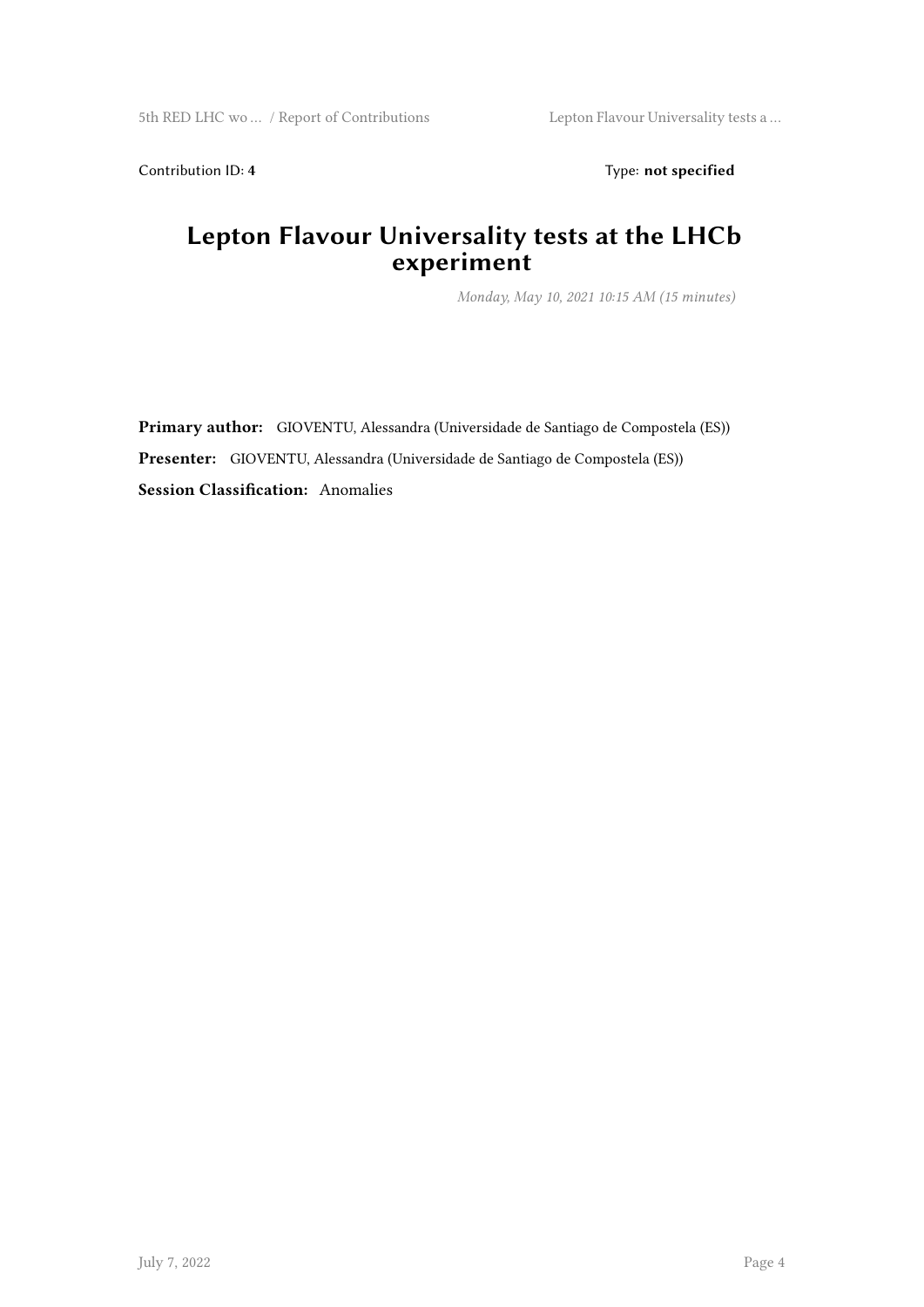Contribution ID: 4 Type: **not specified** 

#### **Lepton Flavour Universality tests at the LHCb experiment**

*Monday, May 10, 2021 10:15 AM (15 minutes)*

**Primary author:** GIOVENTU, Alessandra (Universidade de Santiago de Compostela (ES)) **Presenter:** GIOVENTU, Alessandra (Universidade de Santiago de Compostela (ES)) **Session Classification:** Anomalies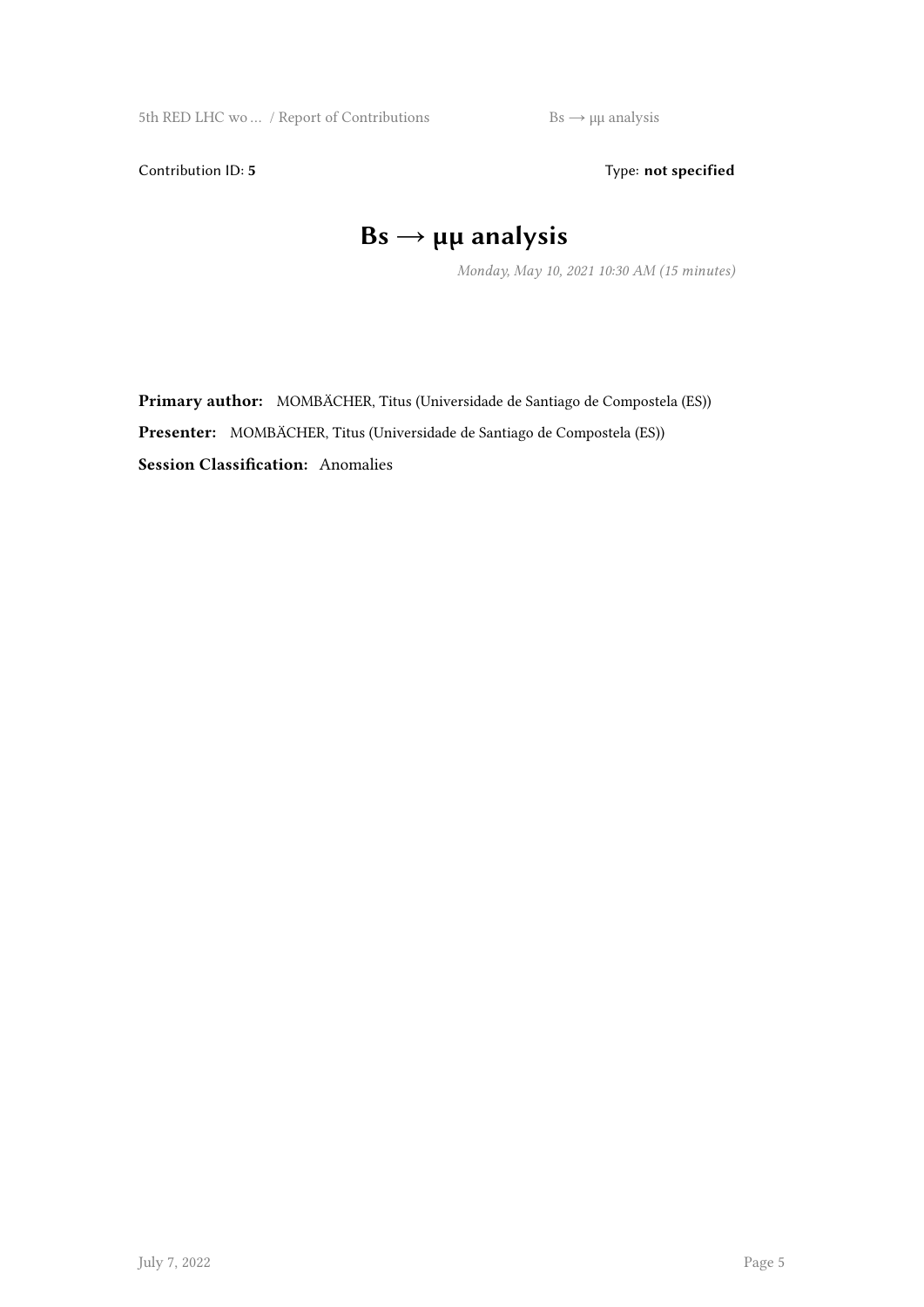5th RED LHC wo ... / Report of Contributions  $Bs \rightarrow \mu\mu$  analysis

Contribution ID: 5 Type: not specified

## **Bs → μμ analysis**

*Monday, May 10, 2021 10:30 AM (15 minutes)*

**Primary author:** MOMBÄCHER, Titus (Universidade de Santiago de Compostela (ES)) **Presenter:** MOMBÄCHER, Titus (Universidade de Santiago de Compostela (ES)) **Session Classification:** Anomalies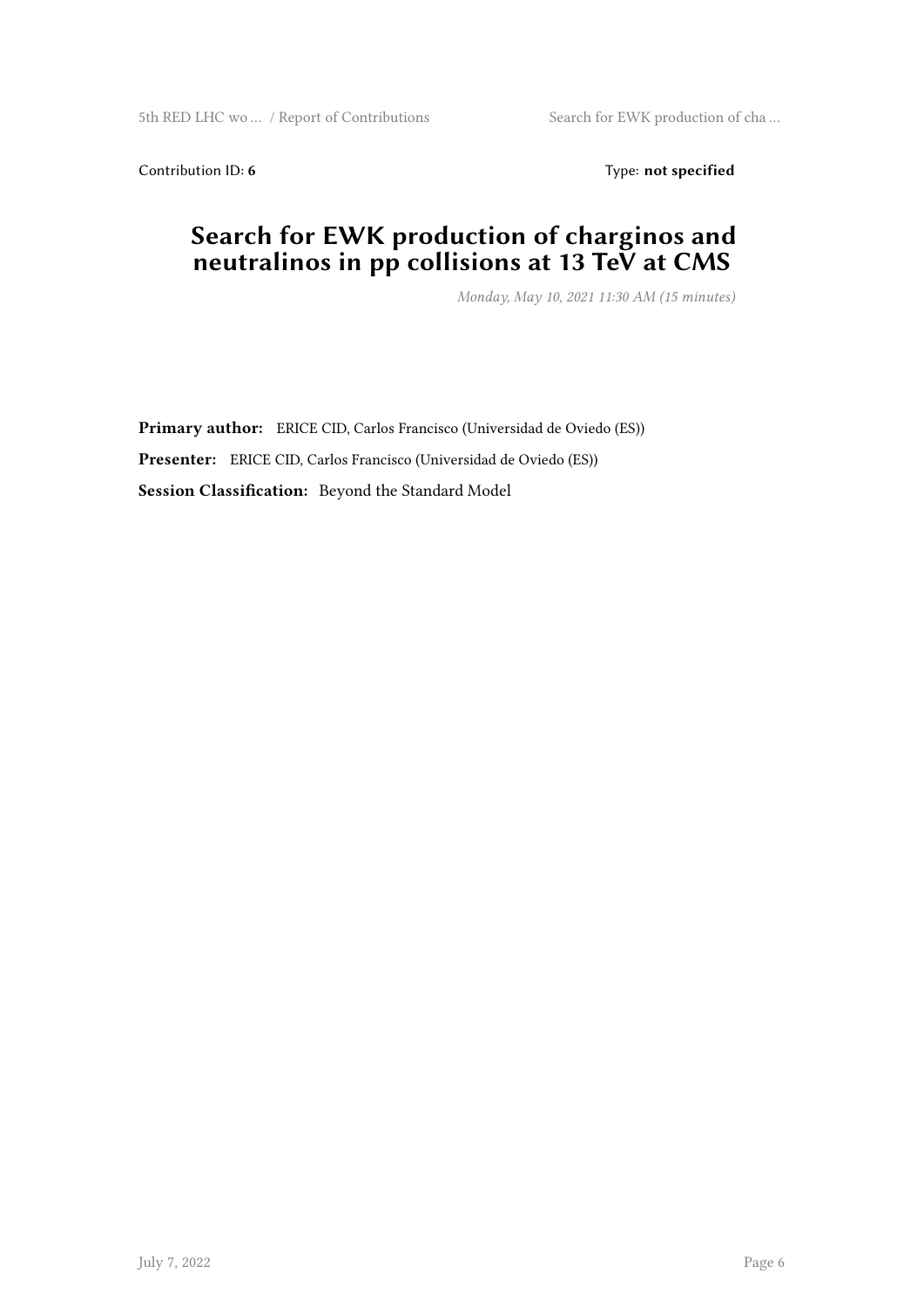5th RED LHC wo ... / Report of Contributions Search for EWK production of cha ...

Contribution ID: 6 Type: not specified

#### **Search for EWK production of charginos and neutralinos in pp collisions at 13 TeV at CMS**

*Monday, May 10, 2021 11:30 AM (15 minutes)*

**Primary author:** ERICE CID, Carlos Francisco (Universidad de Oviedo (ES)) **Presenter:** ERICE CID, Carlos Francisco (Universidad de Oviedo (ES)) **Session Classification:** Beyond the Standard Model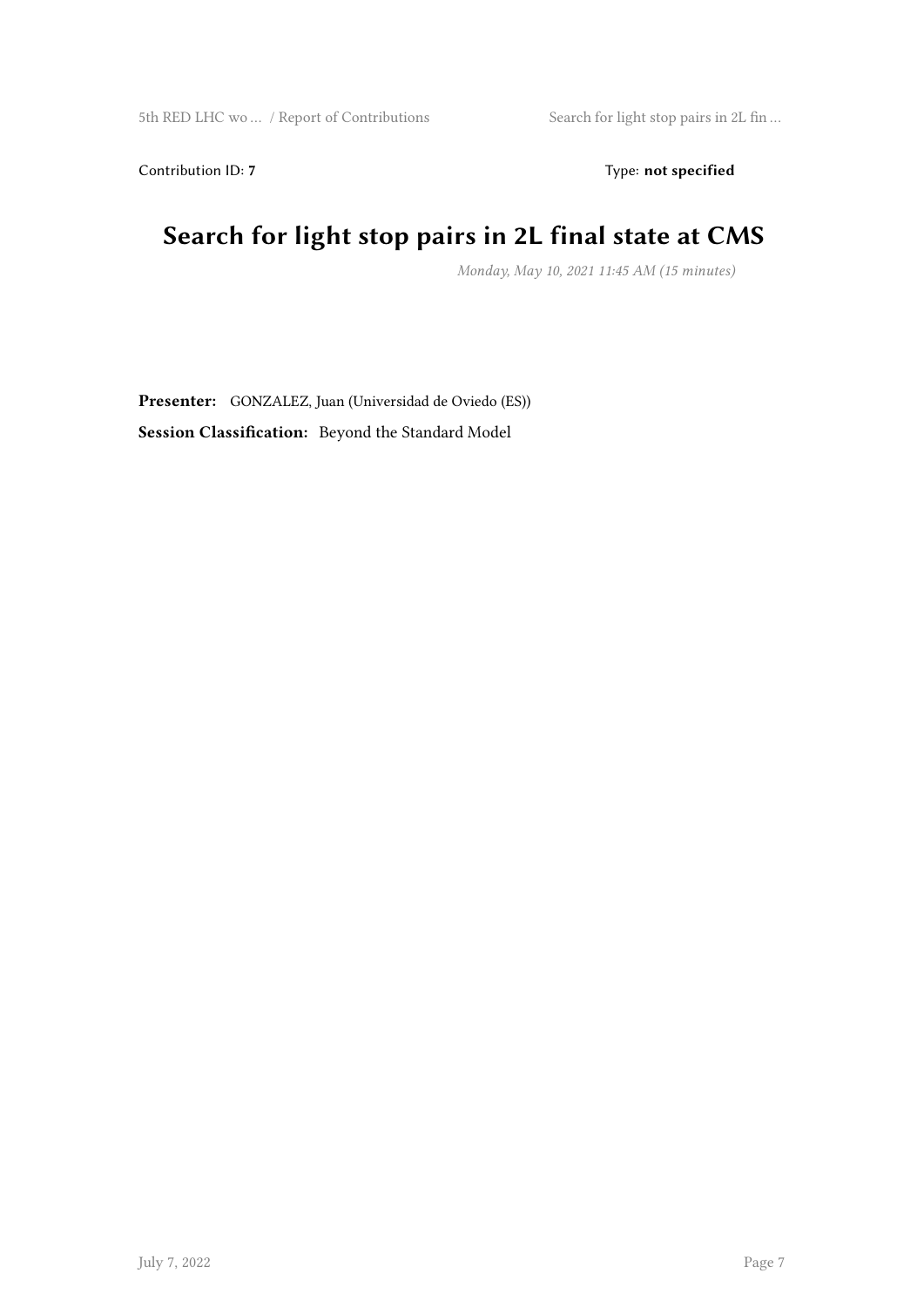Contribution ID: 7 Type: **not specified** 

## **Search for light stop pairs in 2L final state at CMS**

*Monday, May 10, 2021 11:45 AM (15 minutes)*

**Presenter:** GONZALEZ, Juan (Universidad de Oviedo (ES)) **Session Classification:** Beyond the Standard Model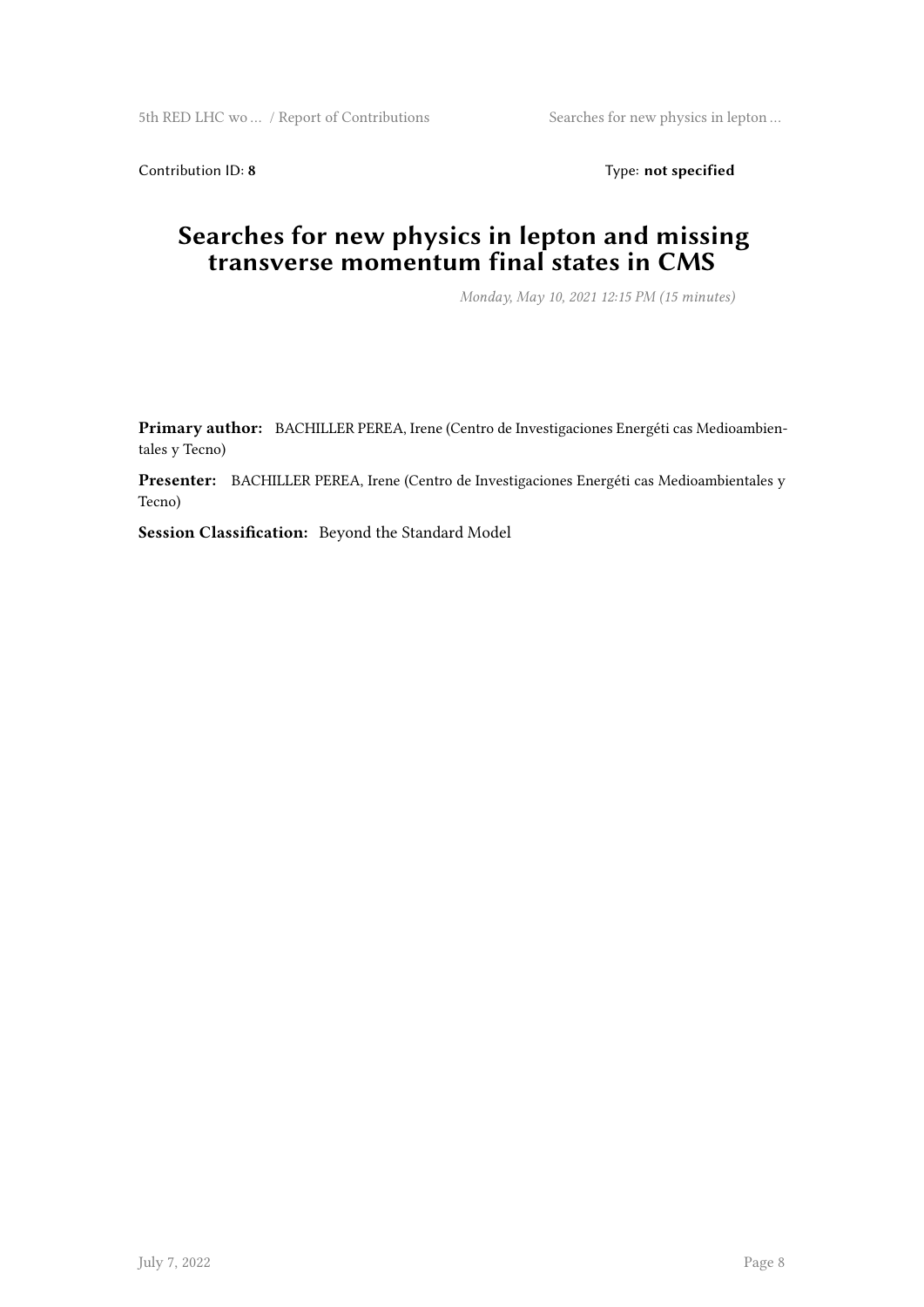Contribution ID: 8 Type: **not specified** 

#### **Searches for new physics in lepton and missing transverse momentum final states in CMS**

*Monday, May 10, 2021 12:15 PM (15 minutes)*

**Primary author:** BACHILLER PEREA, Irene (Centro de Investigaciones Energéti cas Medioambientales y Tecno)

**Presenter:** BACHILLER PEREA, Irene (Centro de Investigaciones Energéti cas Medioambientales y Tecno)

**Session Classification:** Beyond the Standard Model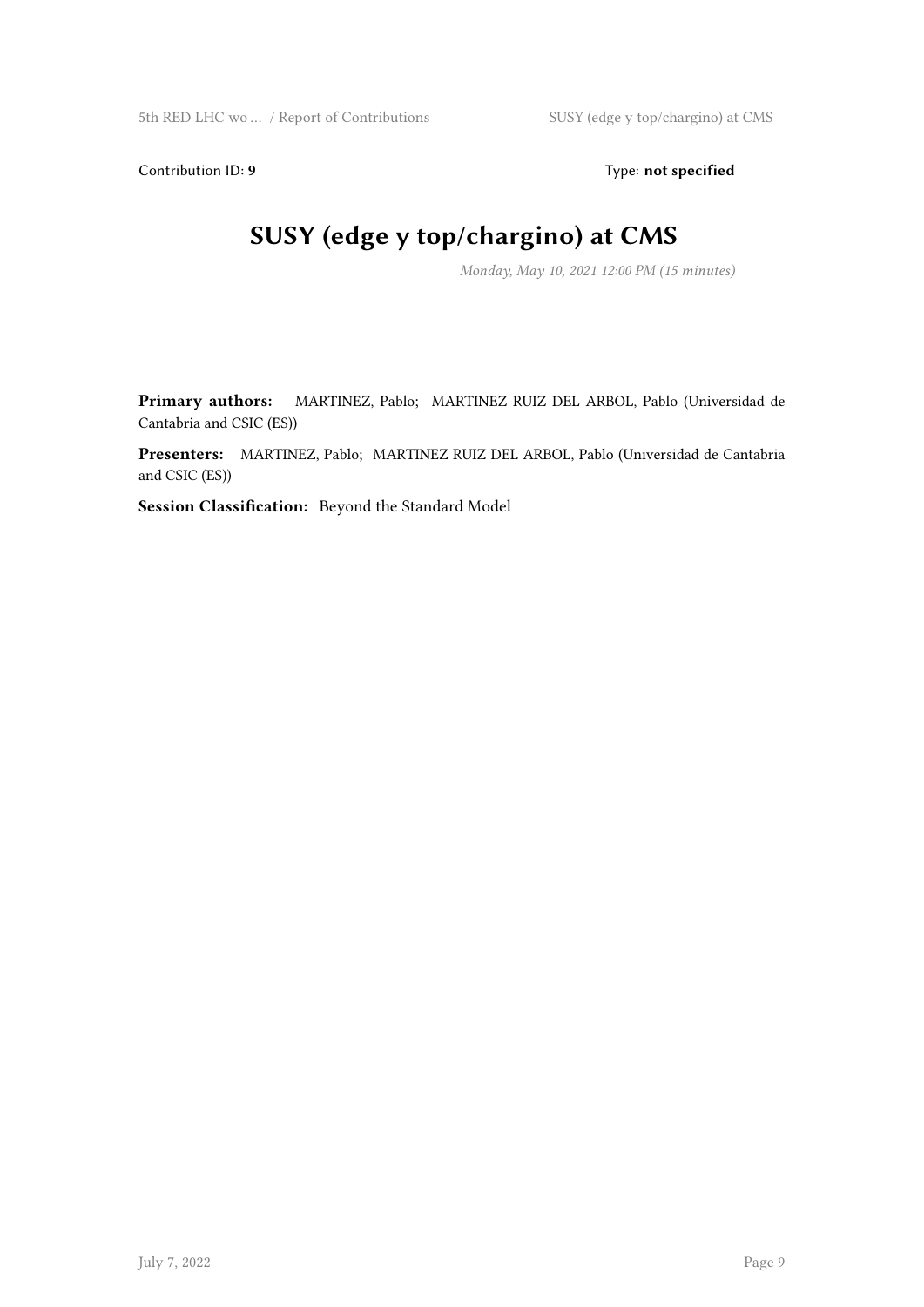Contribution ID: 9 Type: **not specified** 

## **SUSY (edge y top/chargino) at CMS**

*Monday, May 10, 2021 12:00 PM (15 minutes)*

**Primary authors:** MARTINEZ, Pablo; MARTINEZ RUIZ DEL ARBOL, Pablo (Universidad de Cantabria and CSIC (ES))

**Presenters:** MARTINEZ, Pablo; MARTINEZ RUIZ DEL ARBOL, Pablo (Universidad de Cantabria and CSIC (ES))

**Session Classification:** Beyond the Standard Model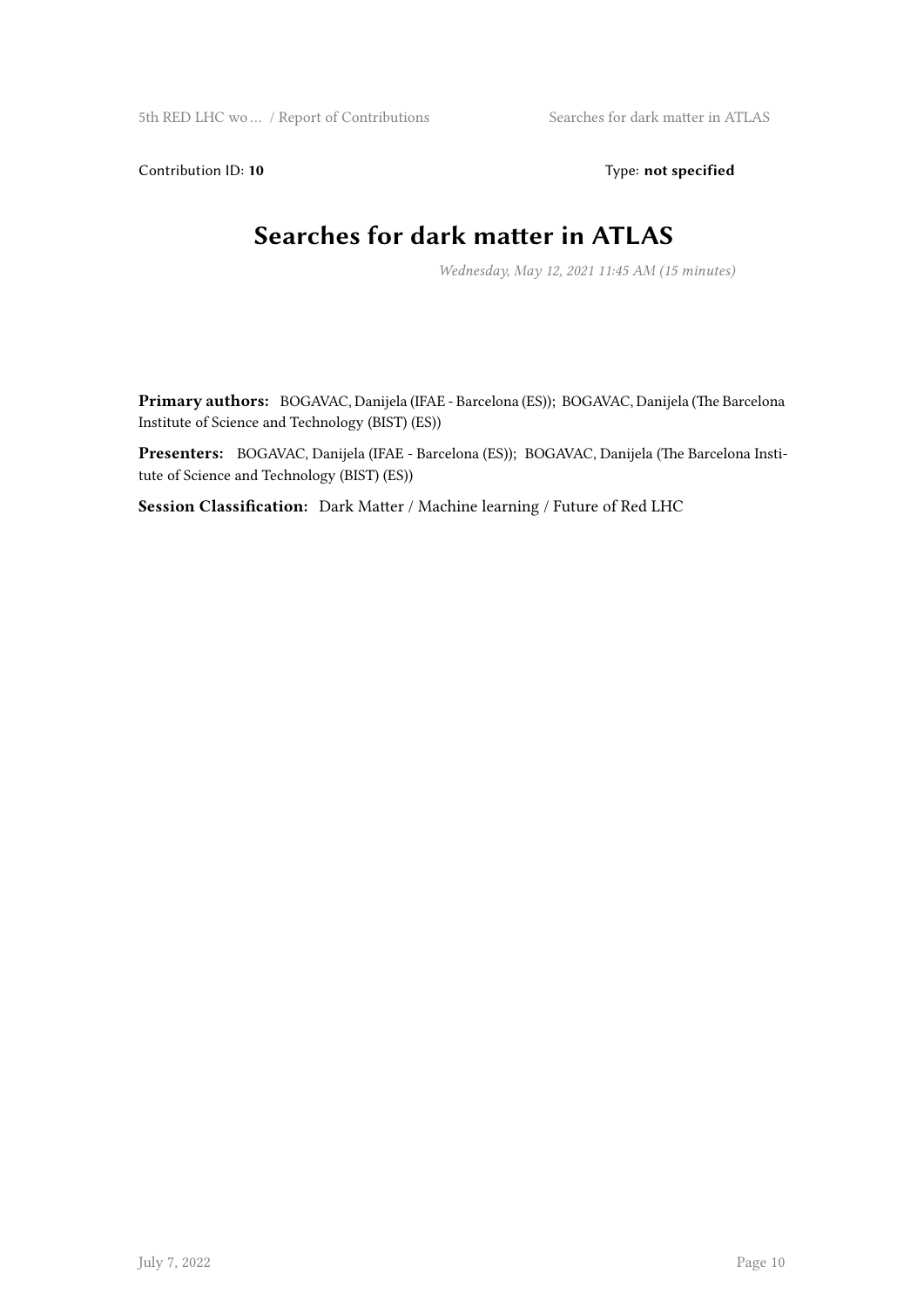Contribution ID: 10 Type: not specified

#### **Searches for dark matter in ATLAS**

*Wednesday, May 12, 2021 11:45 AM (15 minutes)*

**Primary authors:** BOGAVAC, Danijela (IFAE - Barcelona (ES)); BOGAVAC, Danijela (The Barcelona Institute of Science and Technology (BIST) (ES))

**Presenters:** BOGAVAC, Danijela (IFAE - Barcelona (ES)); BOGAVAC, Danijela (The Barcelona Institute of Science and Technology (BIST) (ES))

**Session Classification:** Dark Matter / Machine learning / Future of Red LHC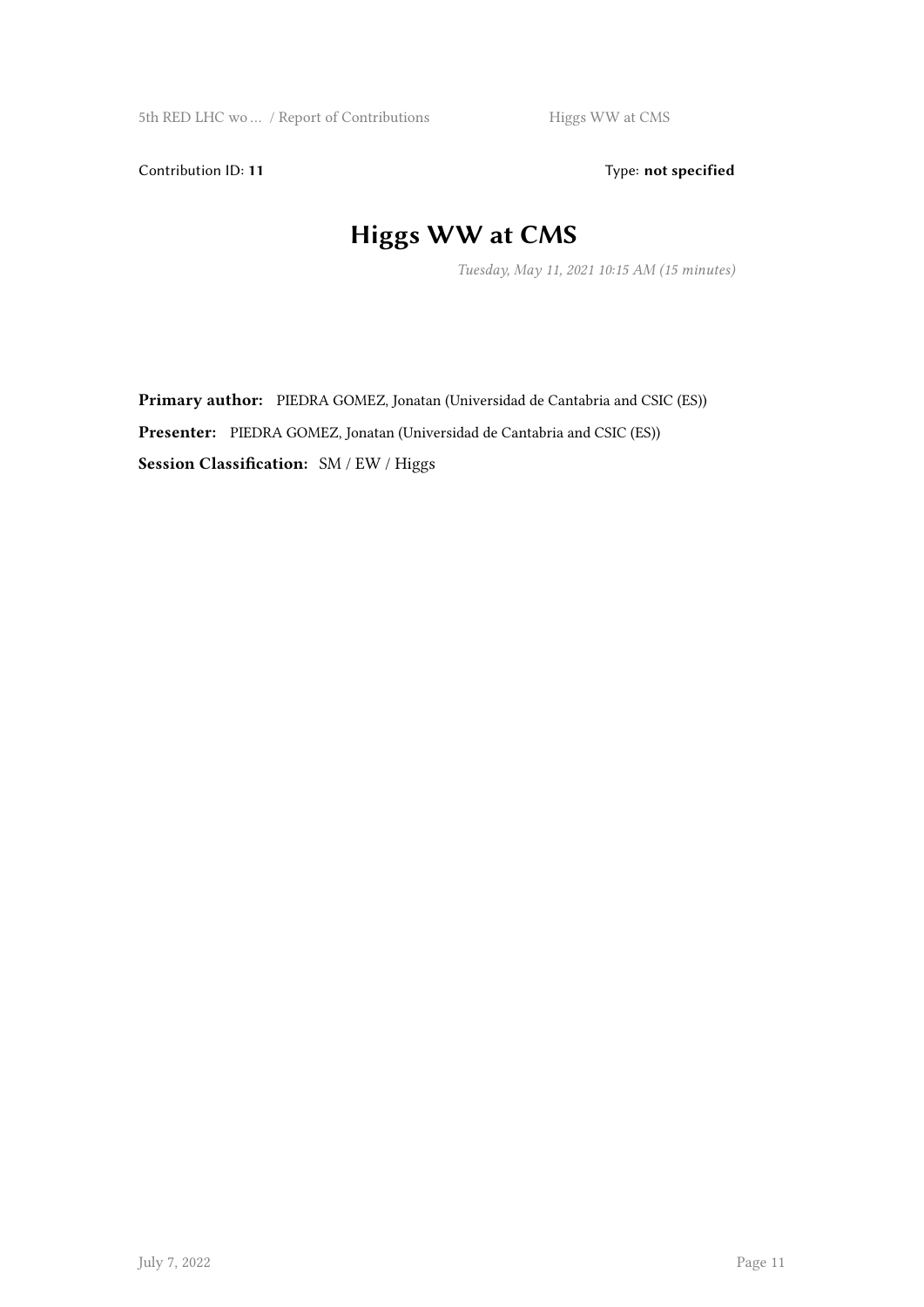Contribution ID: 11 Type: **not specified** 

## **Higgs WW at CMS**

*Tuesday, May 11, 2021 10:15 AM (15 minutes)*

Primary author: PIEDRA GOMEZ, Jonatan (Universidad de Cantabria and CSIC (ES)) Presenter: PIEDRA GOMEZ, Jonatan (Universidad de Cantabria and CSIC (ES)) **Session Classification:** SM / EW / Higgs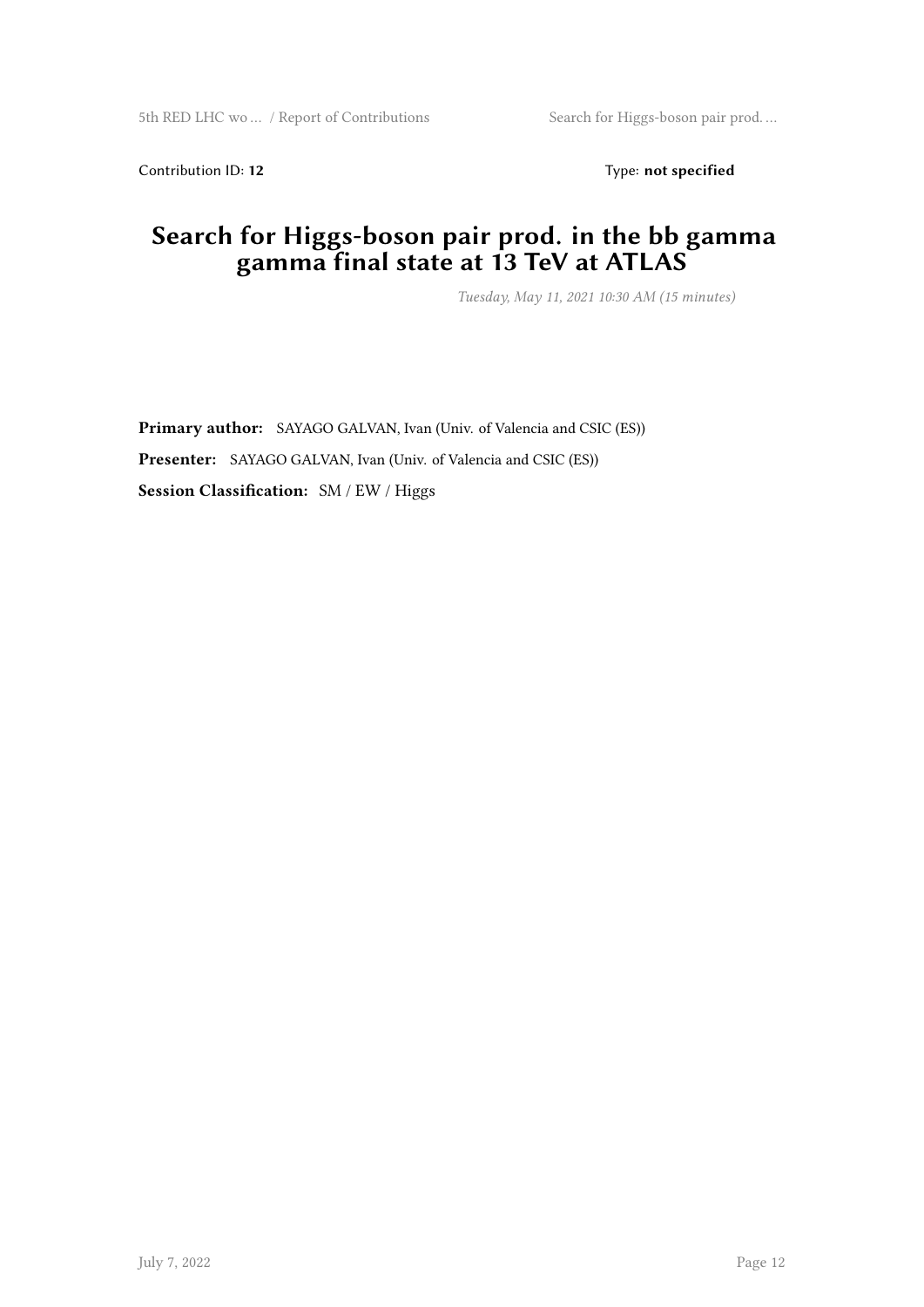Contribution ID: 12 Type: **not specified** 

#### **Search for Higgs-boson pair prod. in the bb gamma gamma final state at 13 TeV at ATLAS**

*Tuesday, May 11, 2021 10:30 AM (15 minutes)*

**Primary author:** SAYAGO GALVAN, Ivan (Univ. of Valencia and CSIC (ES)) **Presenter:** SAYAGO GALVAN, Ivan (Univ. of Valencia and CSIC (ES)) **Session Classification:** SM / EW / Higgs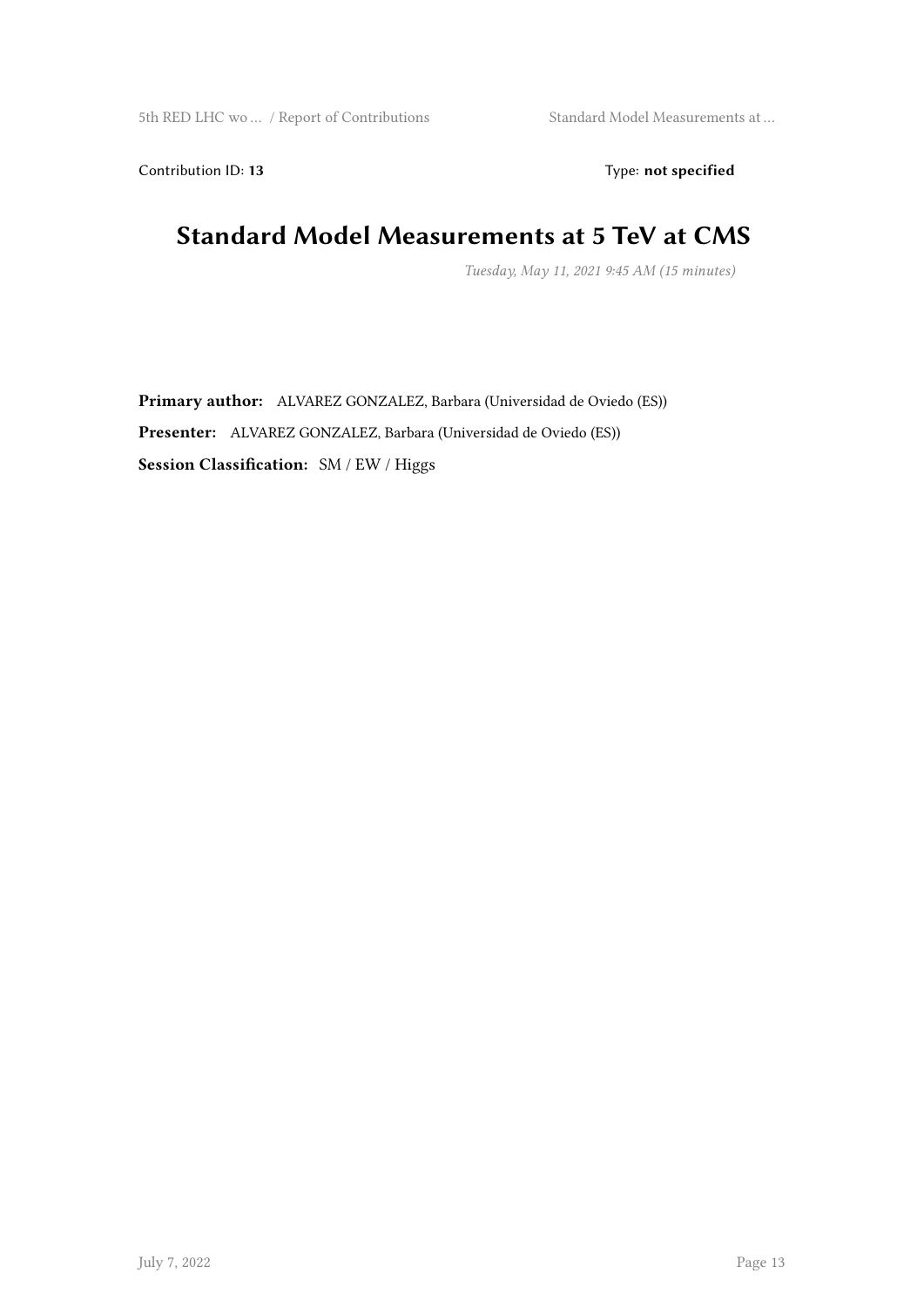Contribution ID: 13 Type: **not specified** 

#### **Standard Model Measurements at 5 TeV at CMS**

*Tuesday, May 11, 2021 9:45 AM (15 minutes)*

**Primary author:** ALVAREZ GONZALEZ, Barbara (Universidad de Oviedo (ES)) **Presenter:** ALVAREZ GONZALEZ, Barbara (Universidad de Oviedo (ES)) **Session Classification:** SM / EW / Higgs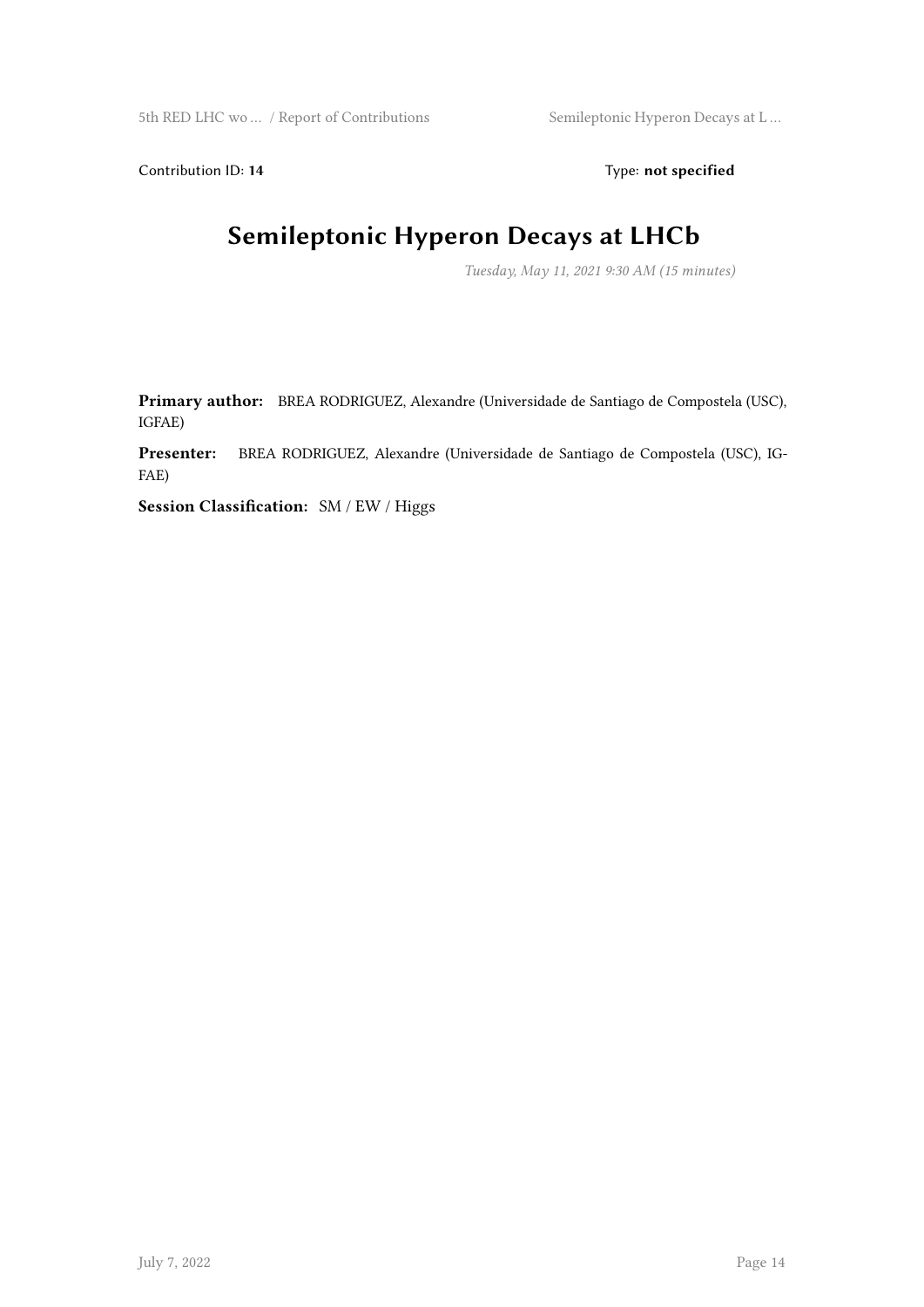Contribution ID: 14 Type: **not specified** 

#### **Semileptonic Hyperon Decays at LHCb**

*Tuesday, May 11, 2021 9:30 AM (15 minutes)*

**Primary author:** BREA RODRIGUEZ, Alexandre (Universidade de Santiago de Compostela (USC), IGFAE)

**Presenter:** BREA RODRIGUEZ, Alexandre (Universidade de Santiago de Compostela (USC), IG-FAE)

**Session Classification:** SM / EW / Higgs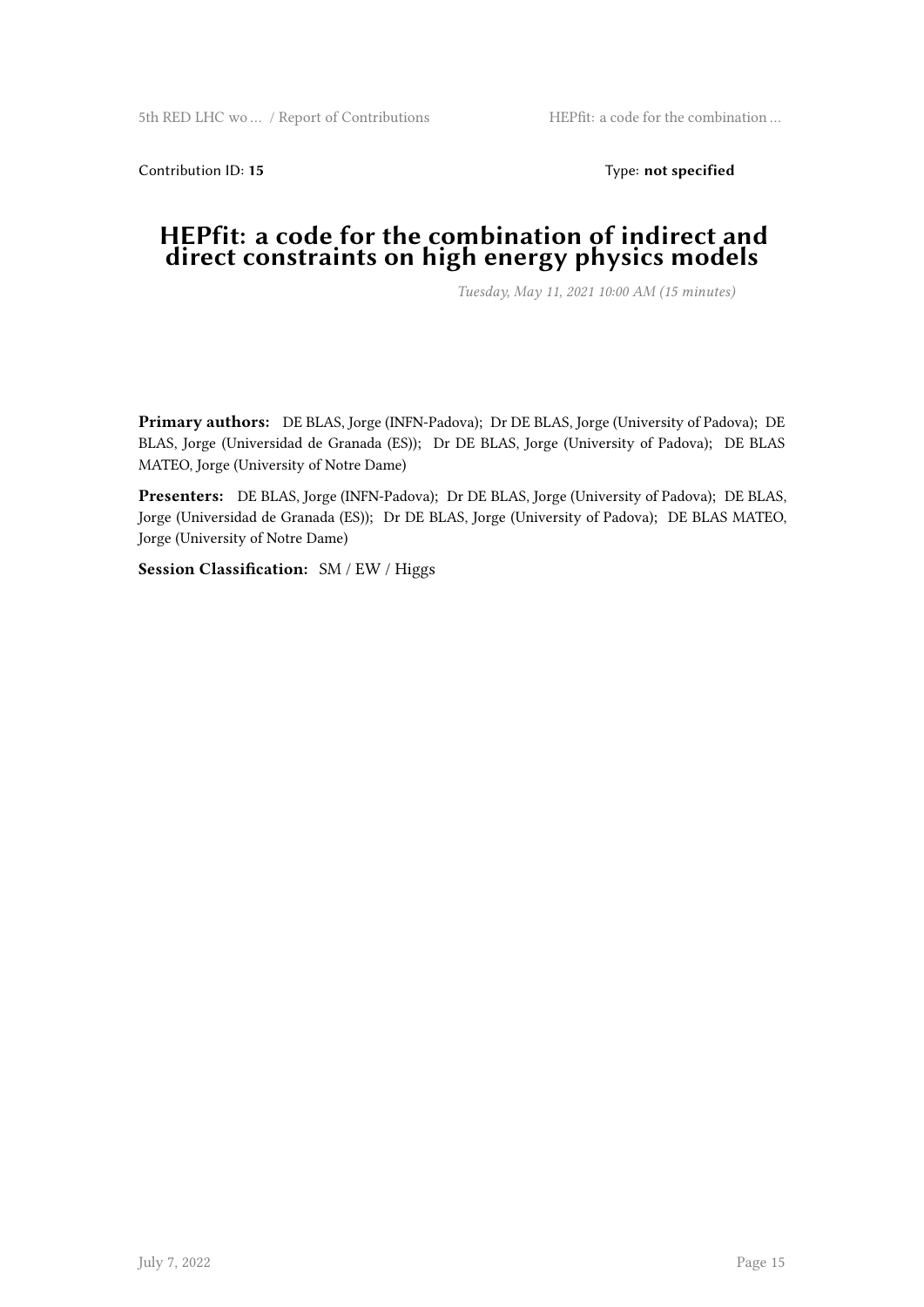Contribution ID: 15 Type: **not specified** 

#### **HEPfit: a code for the combination of indirect and direct constraints on high energy physics models**

*Tuesday, May 11, 2021 10:00 AM (15 minutes)*

**Primary authors:** DE BLAS, Jorge (INFN-Padova); Dr DE BLAS, Jorge (University of Padova); DE BLAS, Jorge (Universidad de Granada (ES)); Dr DE BLAS, Jorge (University of Padova); DE BLAS MATEO, Jorge (University of Notre Dame)

**Presenters:** DE BLAS, Jorge (INFN-Padova); Dr DE BLAS, Jorge (University of Padova); DE BLAS, Jorge (Universidad de Granada (ES)); Dr DE BLAS, Jorge (University of Padova); DE BLAS MATEO, Jorge (University of Notre Dame)

**Session Classification:** SM / EW / Higgs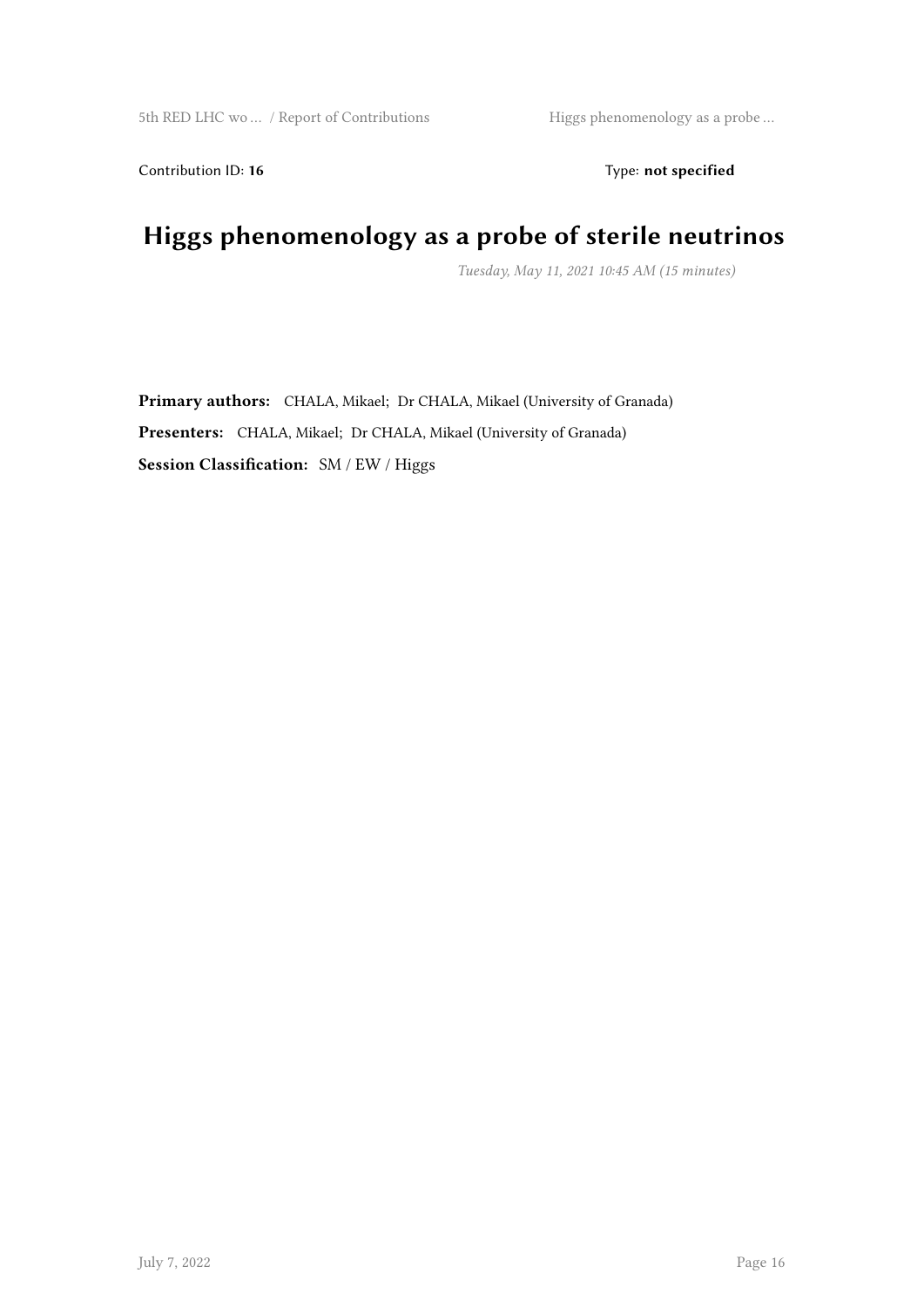Contribution ID: 16 Type: **not specified** 

## **Higgs phenomenology as a probe of sterile neutrinos**

*Tuesday, May 11, 2021 10:45 AM (15 minutes)*

**Primary authors:** CHALA, Mikael; Dr CHALA, Mikael (University of Granada) **Presenters:** CHALA, Mikael; Dr CHALA, Mikael (University of Granada) **Session Classification:** SM / EW / Higgs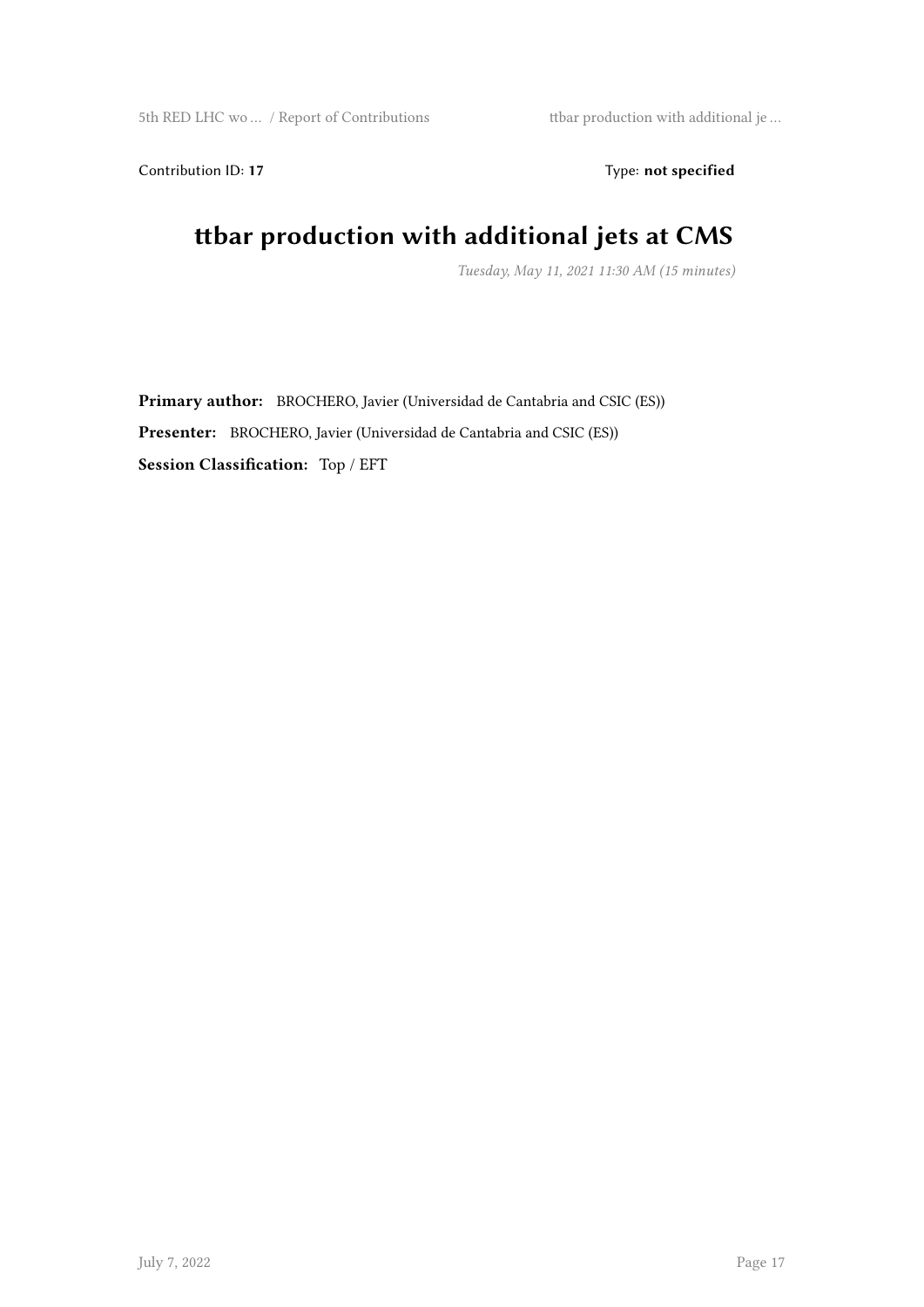Contribution ID: 17 Type: **not specified** 

#### **ttbar production with additional jets at CMS**

*Tuesday, May 11, 2021 11:30 AM (15 minutes)*

**Primary author:** BROCHERO, Javier (Universidad de Cantabria and CSIC (ES)) **Presenter:** BROCHERO, Javier (Universidad de Cantabria and CSIC (ES)) **Session Classification:** Top / EFT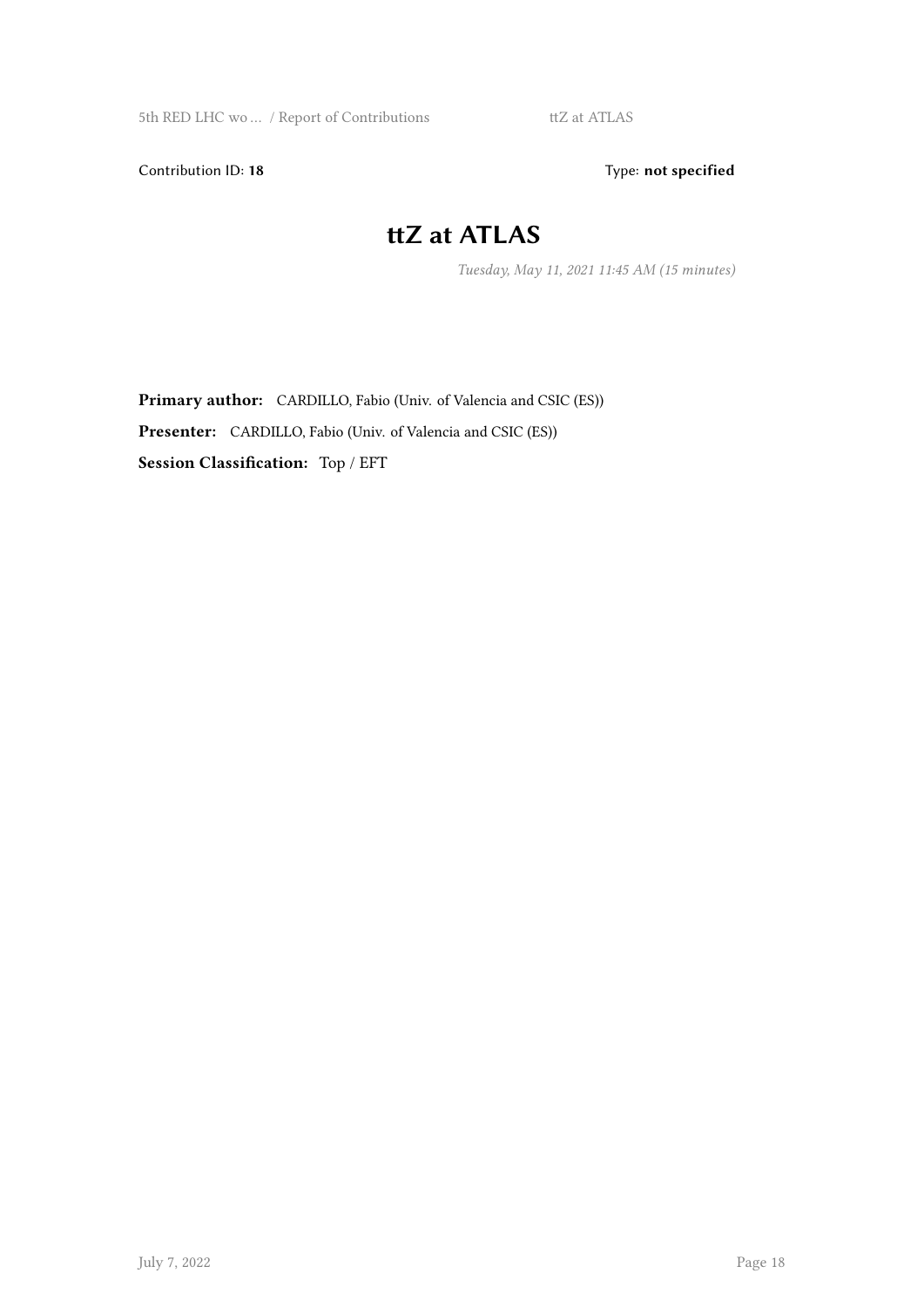Contribution ID: 18 Type: not specified

#### **ttZ at ATLAS**

*Tuesday, May 11, 2021 11:45 AM (15 minutes)*

**Primary author:** CARDILLO, Fabio (Univ. of Valencia and CSIC (ES)) **Presenter:** CARDILLO, Fabio (Univ. of Valencia and CSIC (ES)) **Session Classification:** Top / EFT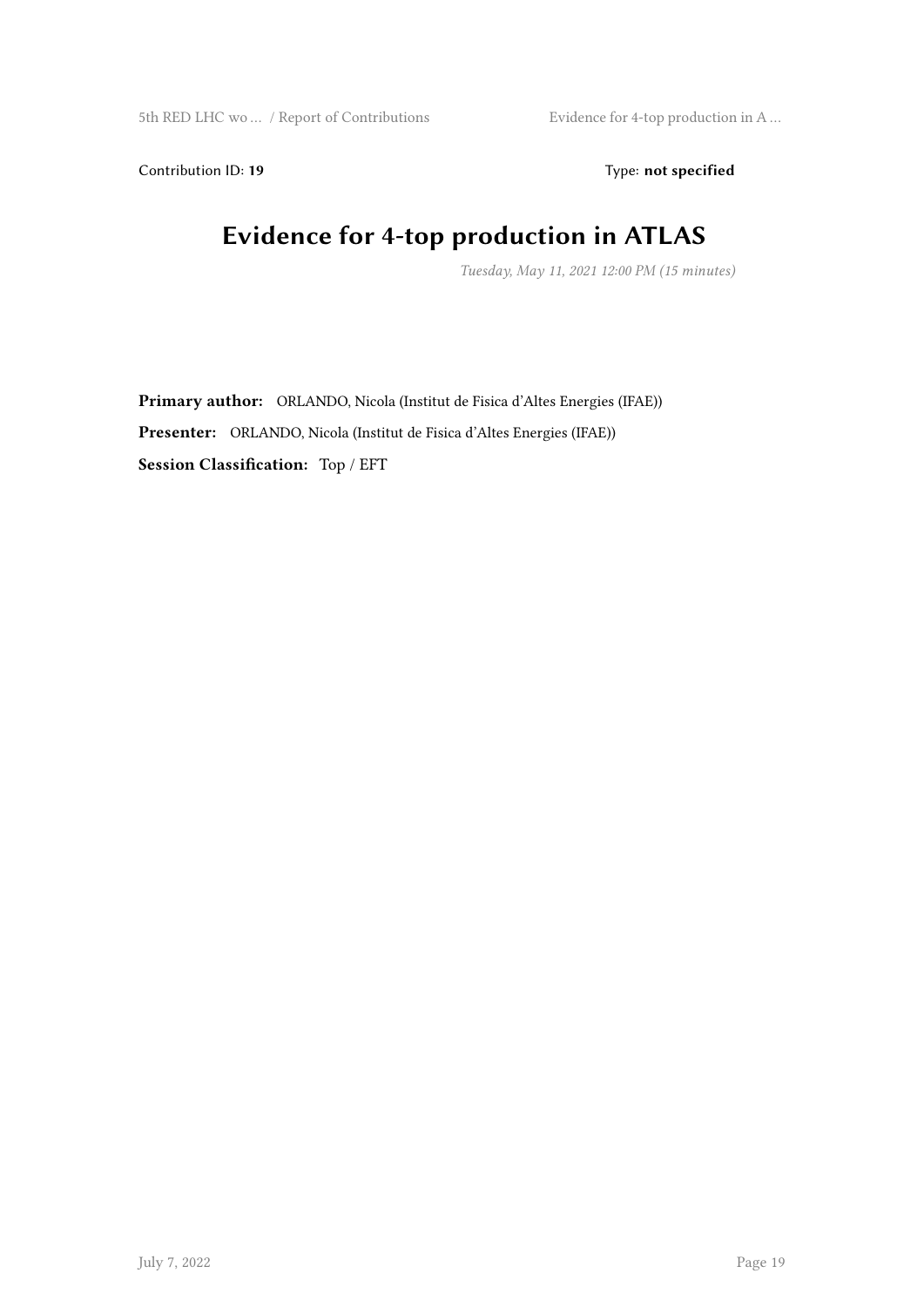Contribution ID: 19 Type: **not specified** 

#### **Evidence for 4-top production in ATLAS**

*Tuesday, May 11, 2021 12:00 PM (15 minutes)*

**Primary author:** ORLANDO, Nicola (Institut de Fisica d'Altes Energies (IFAE)) **Presenter:** ORLANDO, Nicola (Institut de Fisica d'Altes Energies (IFAE)) **Session Classification:** Top / EFT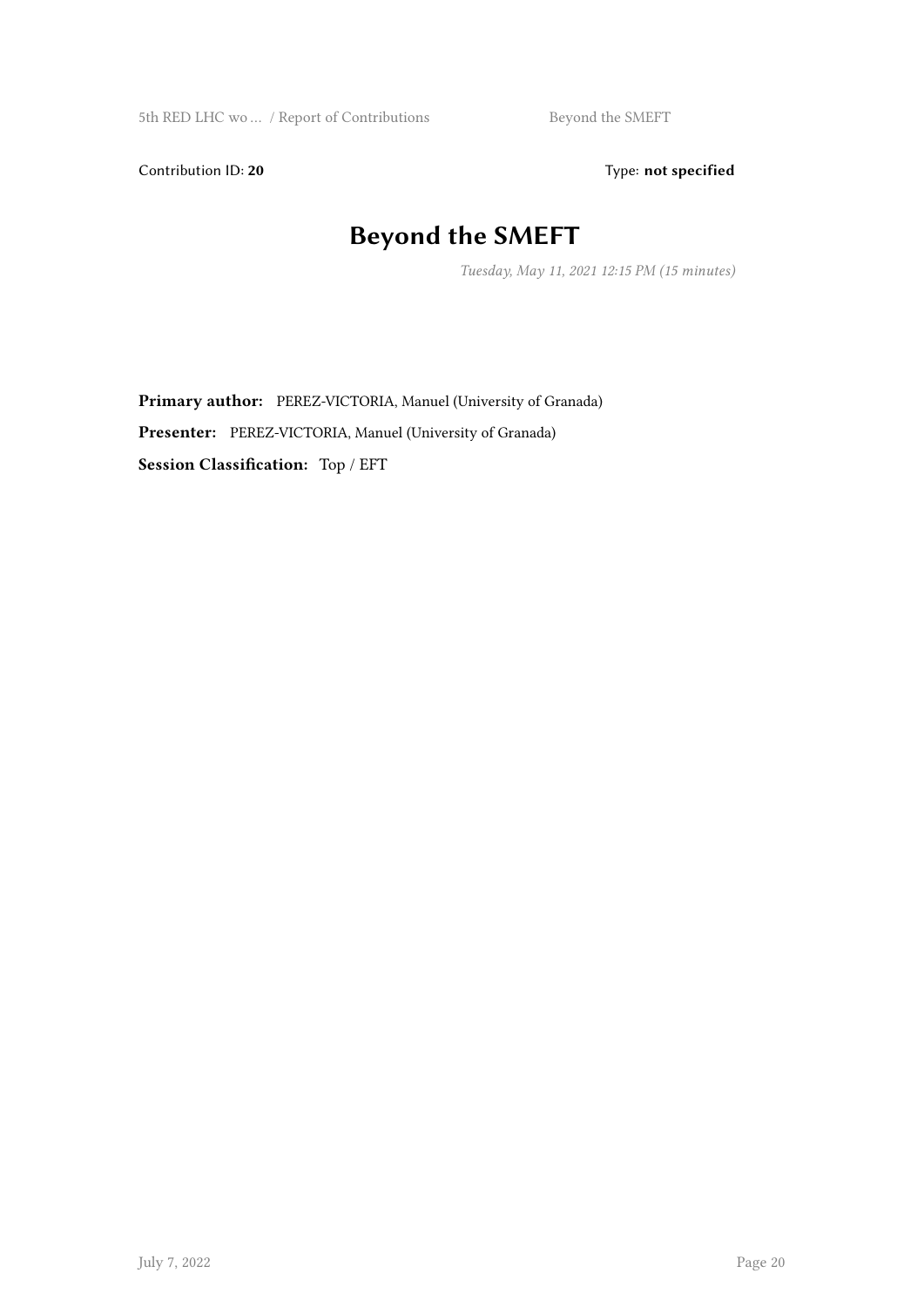Contribution ID: 20 Type: **not specified** 

#### **Beyond the SMEFT**

*Tuesday, May 11, 2021 12:15 PM (15 minutes)*

**Primary author:** PEREZ-VICTORIA, Manuel (University of Granada) **Presenter:** PEREZ-VICTORIA, Manuel (University of Granada) **Session Classification:** Top / EFT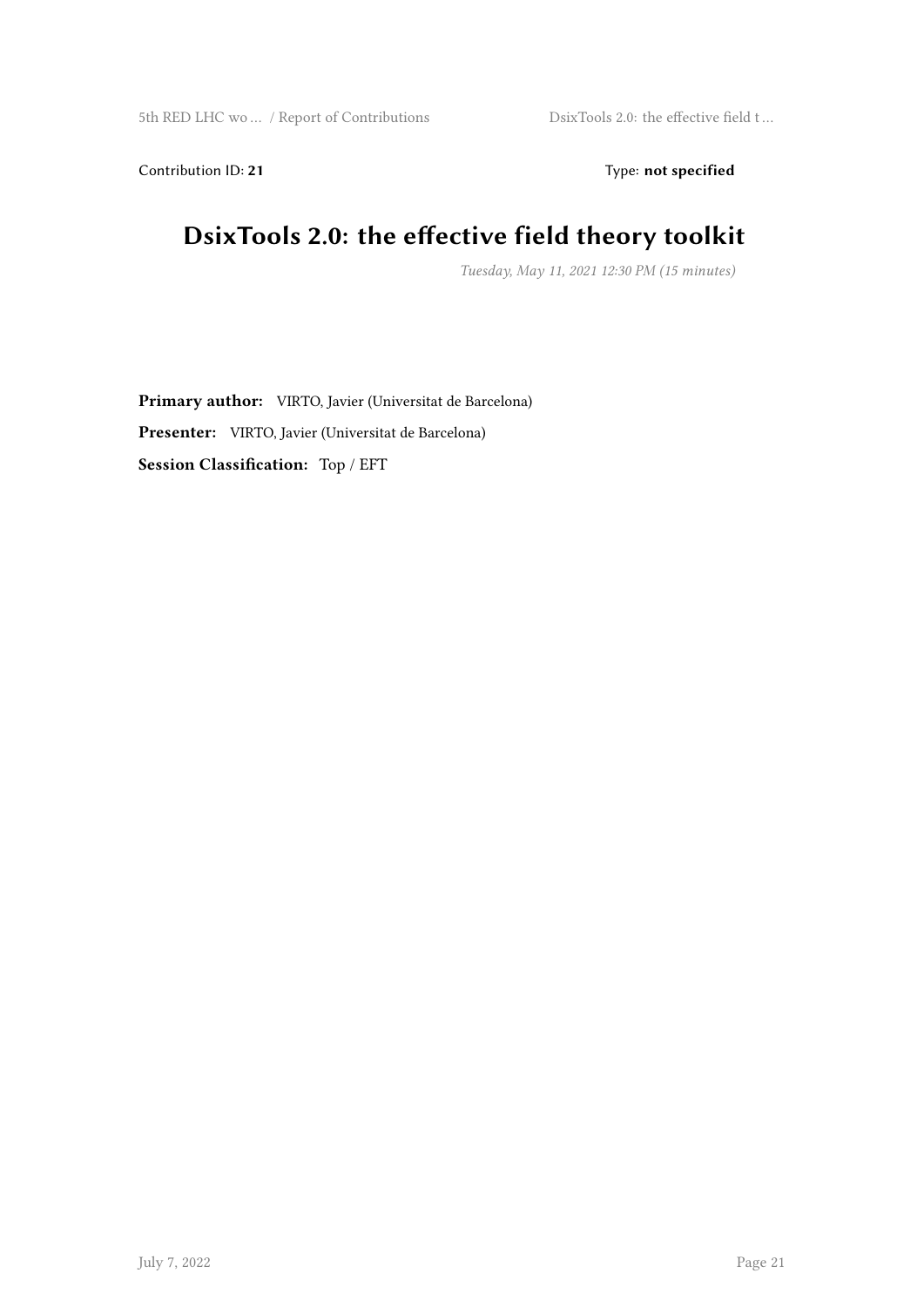Contribution ID: 21 Type: **not specified** 

#### **DsixTools 2.0: the effective field theory toolkit**

*Tuesday, May 11, 2021 12:30 PM (15 minutes)*

**Primary author:** VIRTO, Javier (Universitat de Barcelona) **Presenter:** VIRTO, Javier (Universitat de Barcelona) **Session Classification:** Top / EFT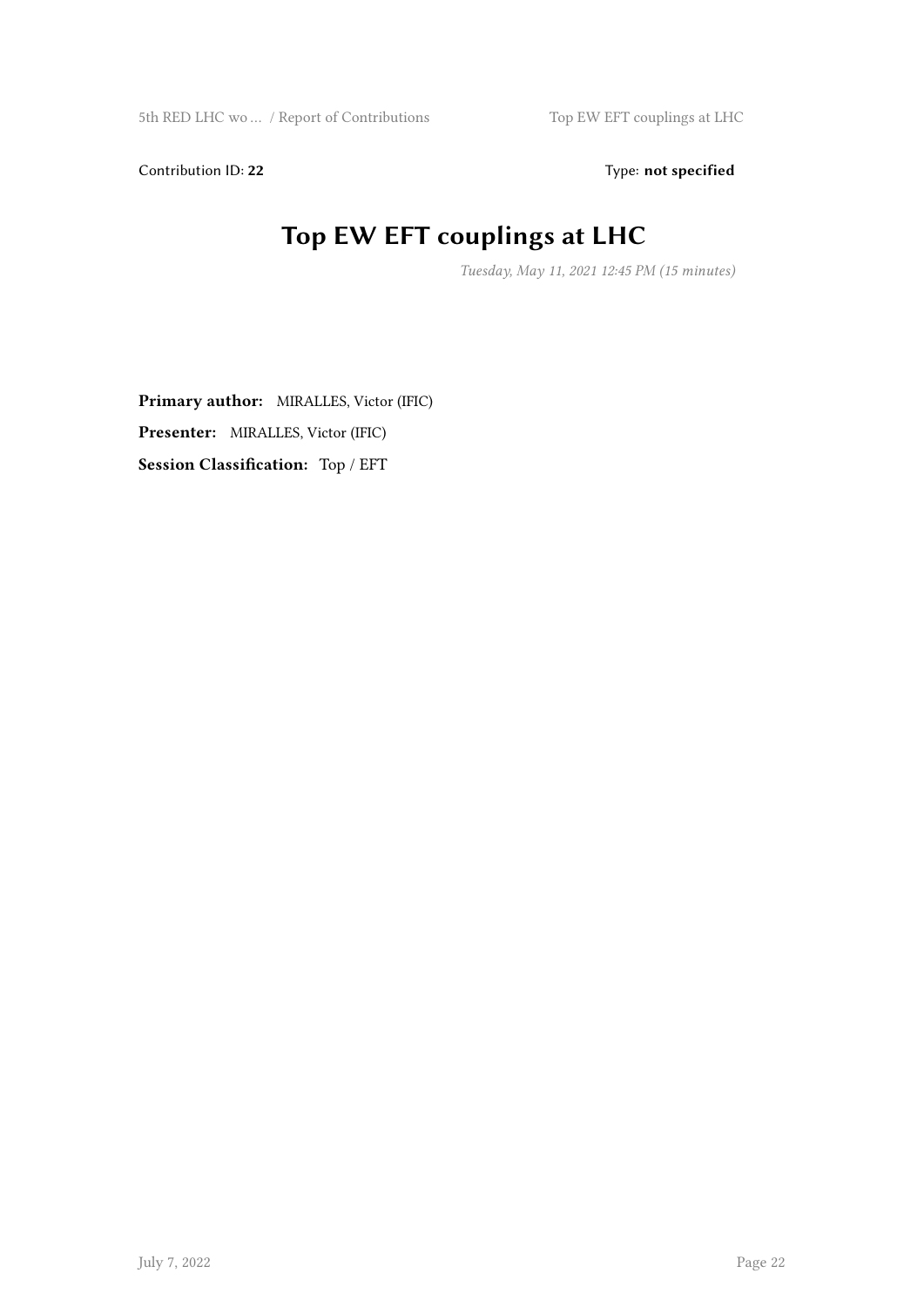Contribution ID: 22 Type: **not specified** 

## **Top EW EFT couplings at LHC**

*Tuesday, May 11, 2021 12:45 PM (15 minutes)*

**Primary author:** MIRALLES, Victor (IFIC) **Presenter:** MIRALLES, Victor (IFIC) **Session Classification:** Top / EFT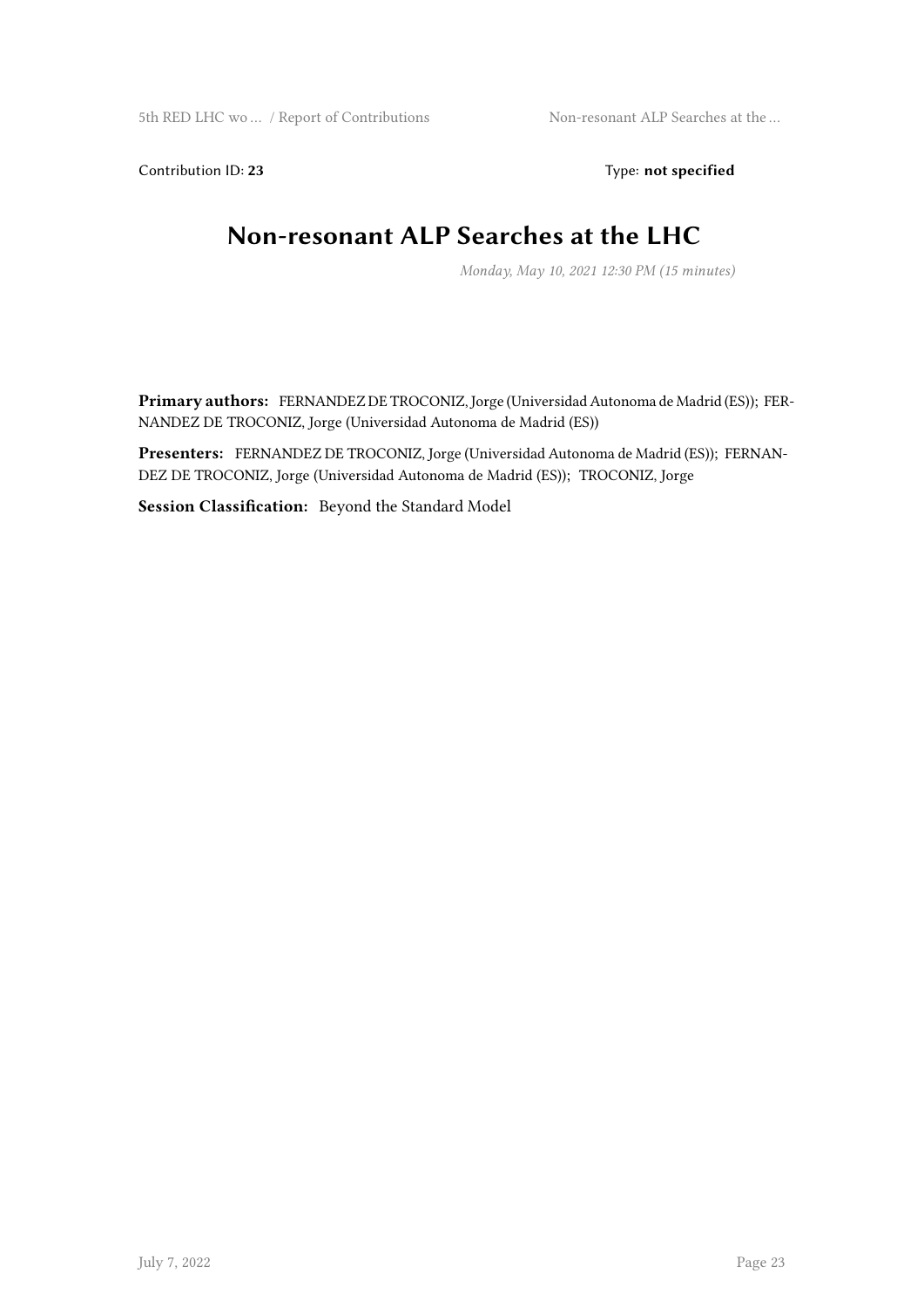Contribution ID: 23 Type: **not specified** 

#### **Non-resonant ALP Searches at the LHC**

*Monday, May 10, 2021 12:30 PM (15 minutes)*

**Primary authors:** FERNANDEZ DE TROCONIZ, Jorge (Universidad Autonoma de Madrid (ES)); FER-NANDEZ DE TROCONIZ, Jorge (Universidad Autonoma de Madrid (ES))

**Presenters:** FERNANDEZ DE TROCONIZ, Jorge (Universidad Autonoma de Madrid (ES)); FERNAN-DEZ DE TROCONIZ, Jorge (Universidad Autonoma de Madrid (ES)); TROCONIZ, Jorge

**Session Classification:** Beyond the Standard Model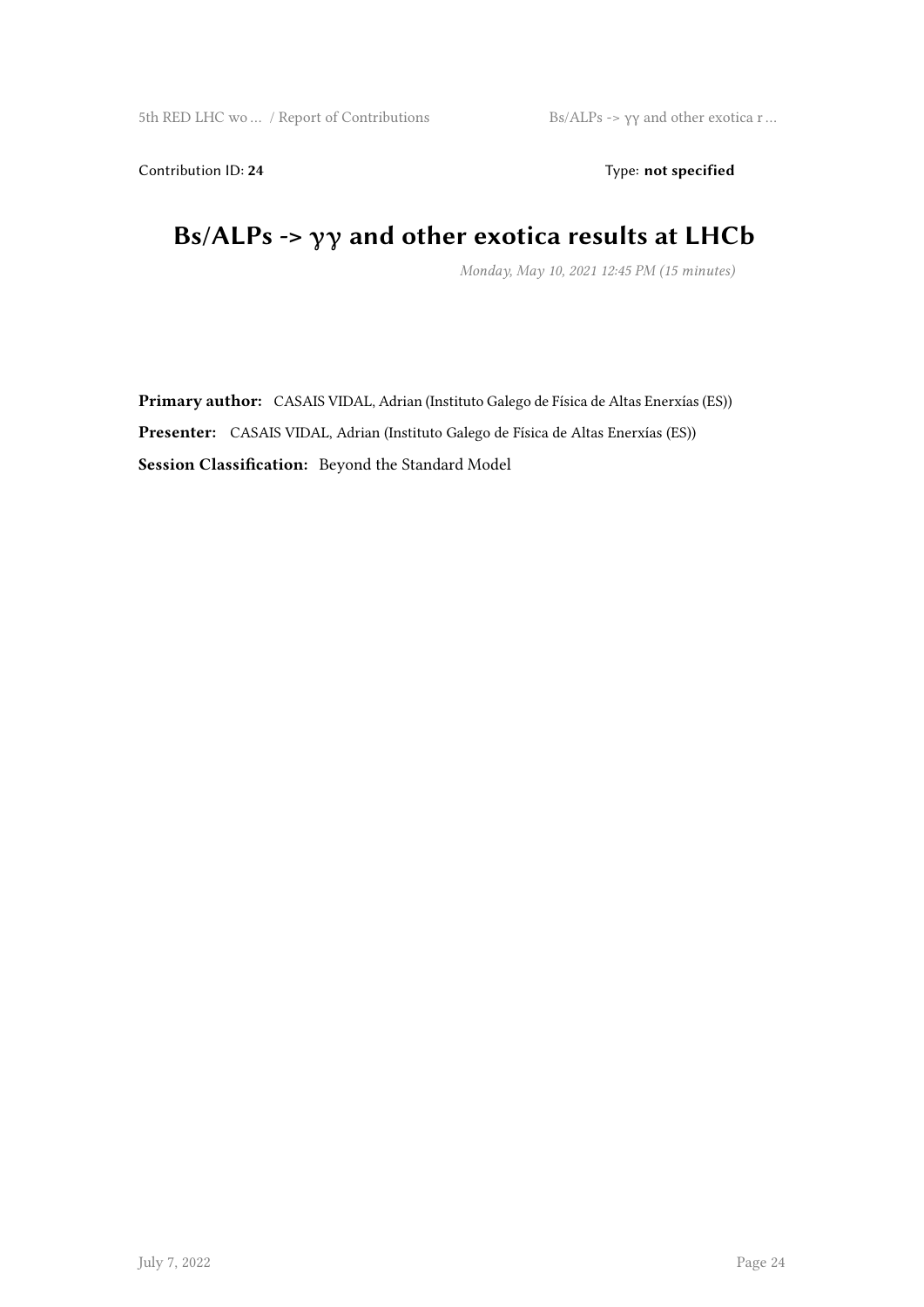Contribution ID: 24 Type: **not specified** 

#### **Bs/ALPs -> γγ and other exotica results at LHCb**

*Monday, May 10, 2021 12:45 PM (15 minutes)*

**Primary author:** CASAIS VIDAL, Adrian (Instituto Galego de Física de Altas Enerxías (ES)) **Presenter:** CASAIS VIDAL, Adrian (Instituto Galego de Física de Altas Enerxías (ES)) **Session Classification:** Beyond the Standard Model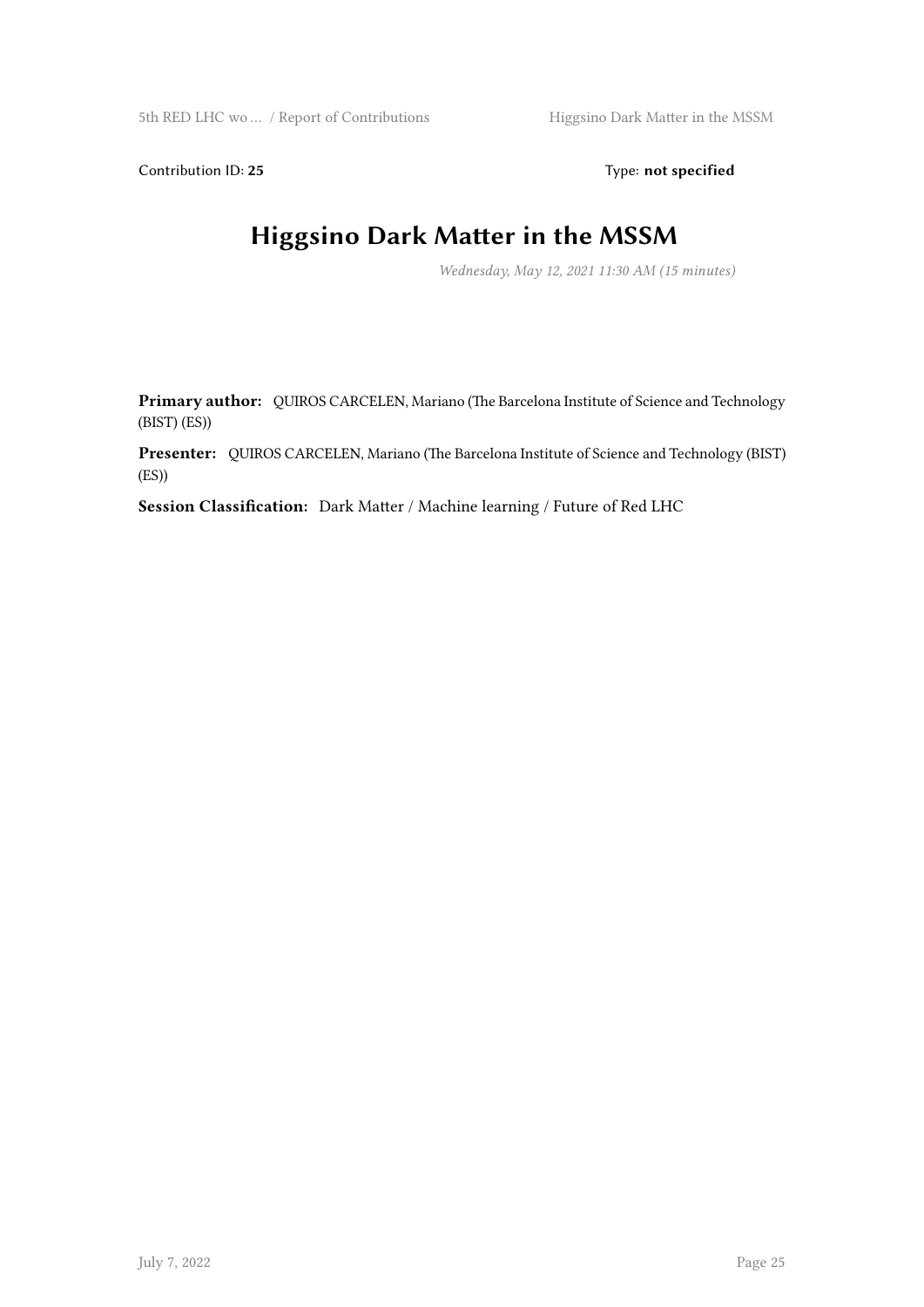Contribution ID: 25 Type: **not specified** 

#### **Higgsino Dark Matter in the MSSM**

*Wednesday, May 12, 2021 11:30 AM (15 minutes)*

**Primary author:** QUIROS CARCELEN, Mariano (The Barcelona Institute of Science and Technology (BIST) (ES))

**Presenter:** QUIROS CARCELEN, Mariano (The Barcelona Institute of Science and Technology (BIST) (ES))

**Session Classification:** Dark Matter / Machine learning / Future of Red LHC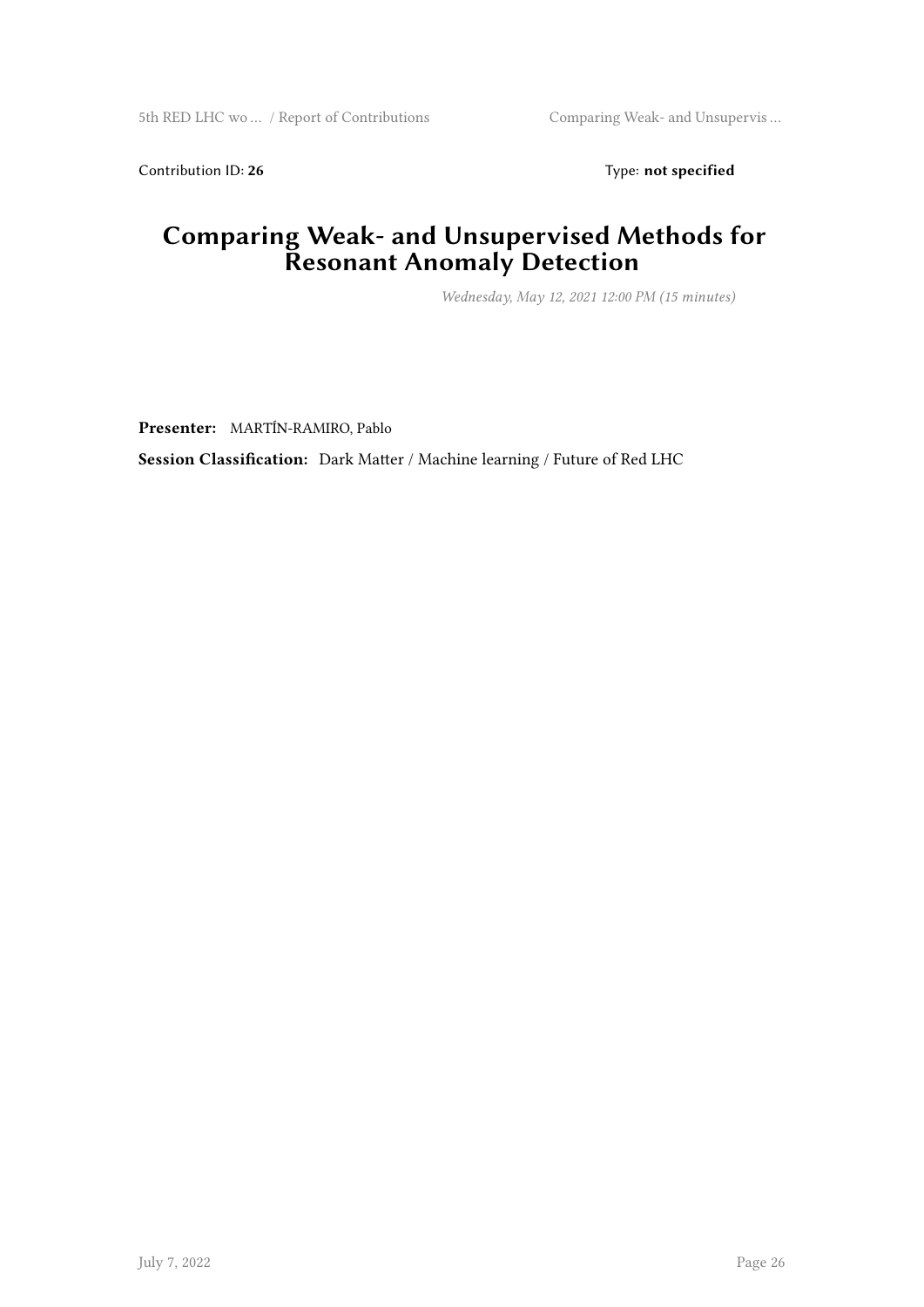Contribution ID: 26 Type: **not specified** 

#### **Comparing Weak- and Unsupervised Methods for Resonant Anomaly Detection**

*Wednesday, May 12, 2021 12:00 PM (15 minutes)*

**Presenter:** MARTÍN-RAMIRO, Pablo

**Session Classification:** Dark Matter / Machine learning / Future of Red LHC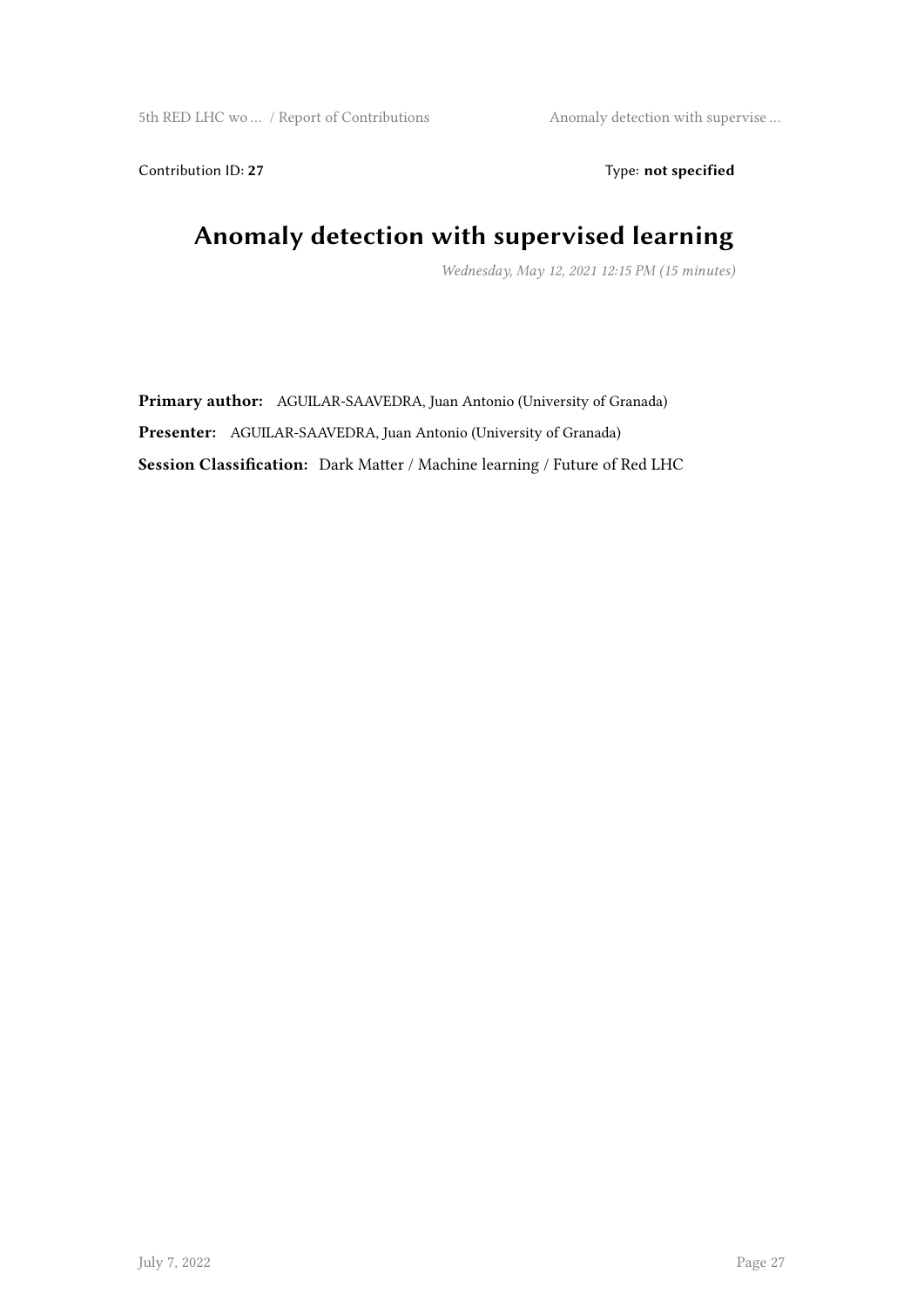Contribution ID: 27 Type: **not specified** 

#### **Anomaly detection with supervised learning**

*Wednesday, May 12, 2021 12:15 PM (15 minutes)*

**Primary author:** AGUILAR-SAAVEDRA, Juan Antonio (University of Granada) **Presenter:** AGUILAR-SAAVEDRA, Juan Antonio (University of Granada) **Session Classification:** Dark Matter / Machine learning / Future of Red LHC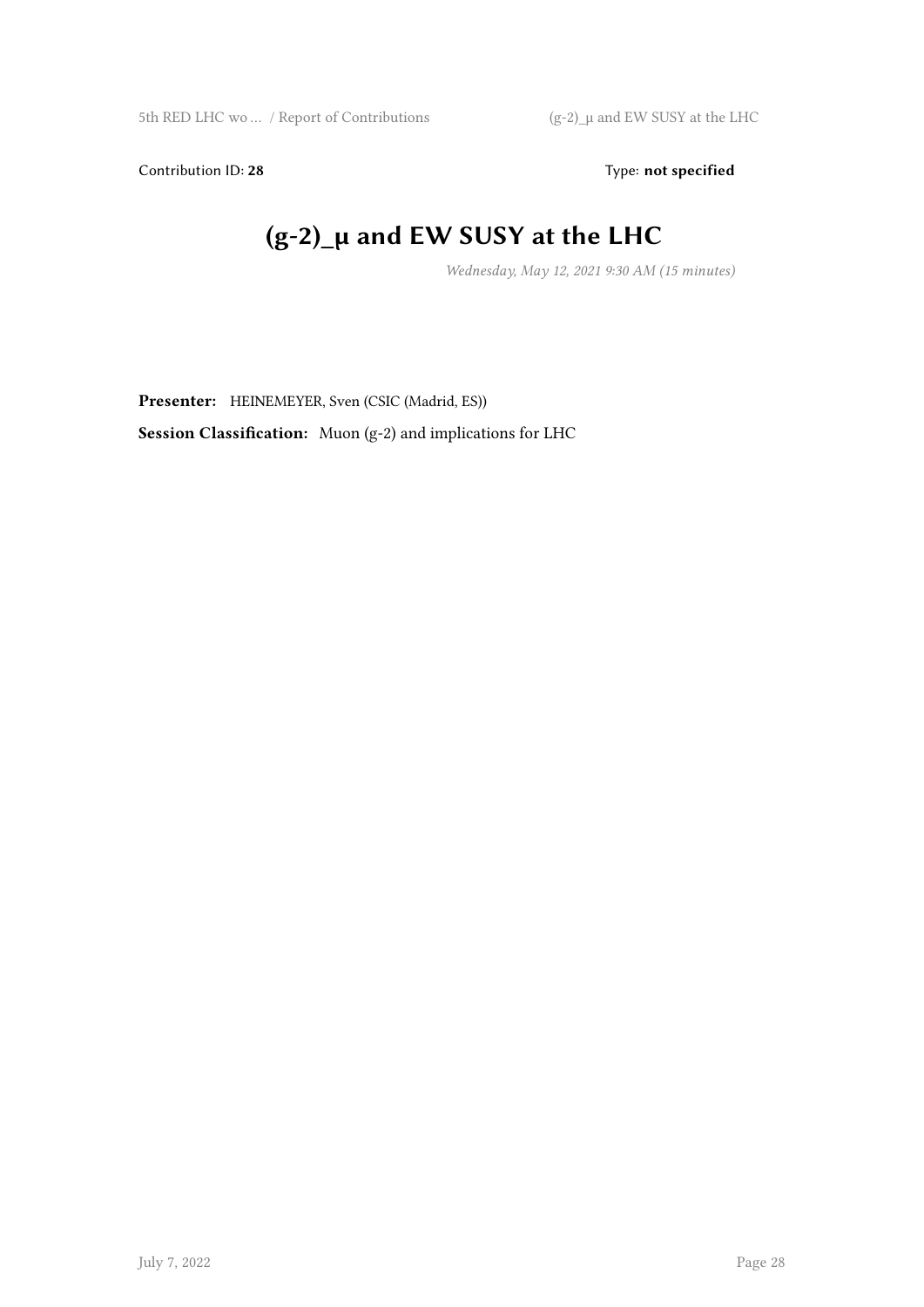Contribution ID: 28 Type: **not specified** 

## **(g-2)\_μ and EW SUSY at the LHC**

*Wednesday, May 12, 2021 9:30 AM (15 minutes)*

**Presenter:** HEINEMEYER, Sven (CSIC (Madrid, ES))

**Session Classification:** Muon (g-2) and implications for LHC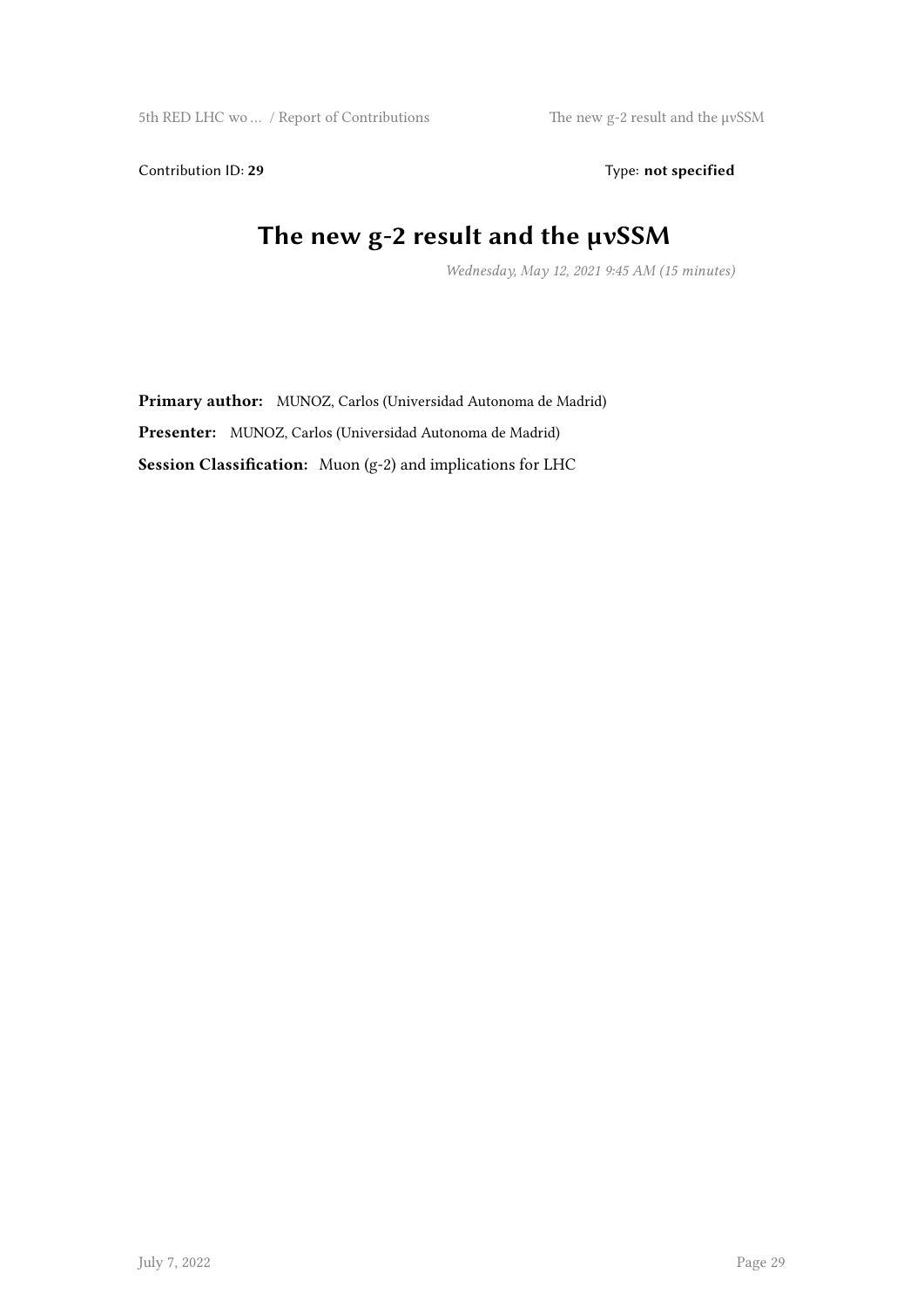Contribution ID: 29 Type: not specified

#### **The new g-2 result and the μνSSM**

*Wednesday, May 12, 2021 9:45 AM (15 minutes)*

**Primary author:** MUNOZ, Carlos (Universidad Autonoma de Madrid) **Presenter:** MUNOZ, Carlos (Universidad Autonoma de Madrid) **Session Classification:** Muon (g-2) and implications for LHC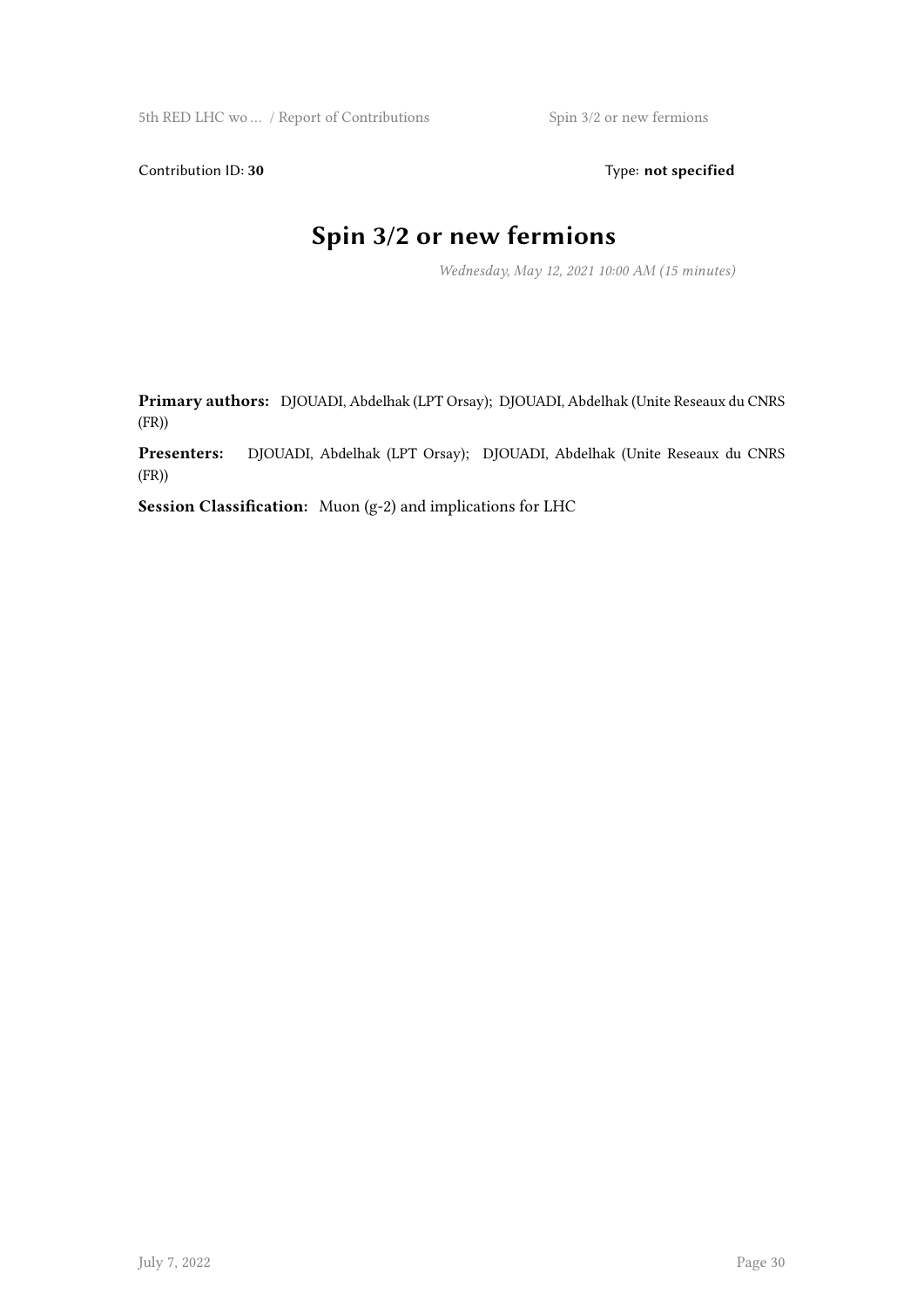Contribution ID: 30 Type: **not specified** 

## **Spin 3/2 or new fermions**

*Wednesday, May 12, 2021 10:00 AM (15 minutes)*

**Primary authors:** DJOUADI, Abdelhak (LPT Orsay); DJOUADI, Abdelhak (Unite Reseaux du CNRS (FR))

**Presenters:** DJOUADI, Abdelhak (LPT Orsay); DJOUADI, Abdelhak (Unite Reseaux du CNRS (FR))

**Session Classification:** Muon (g-2) and implications for LHC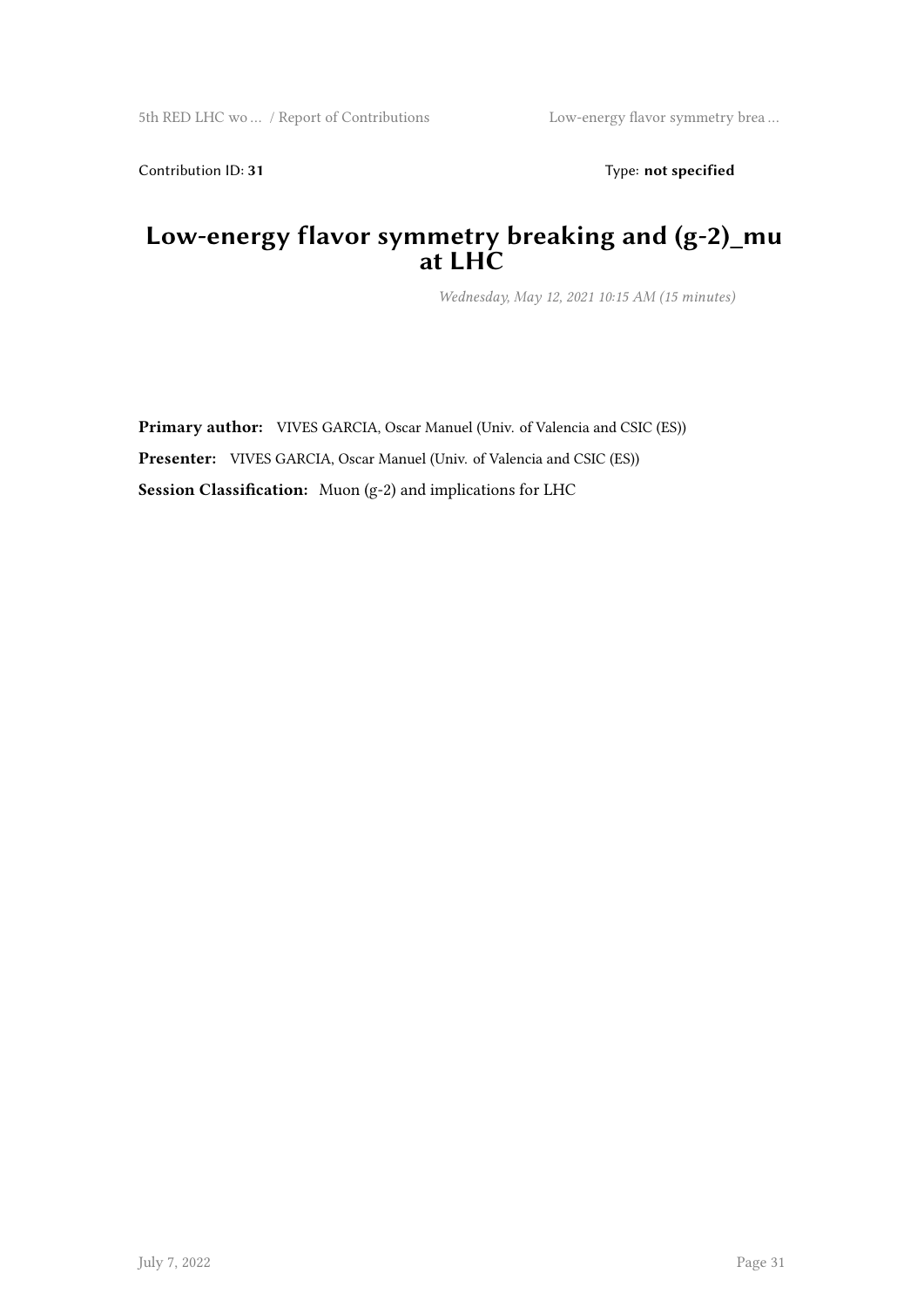Contribution ID: 31 Type: **not specified** 

#### **Low-energy flavor symmetry breaking and (g-2)\_mu at LHC**

*Wednesday, May 12, 2021 10:15 AM (15 minutes)*

**Primary author:** VIVES GARCIA, Oscar Manuel (Univ. of Valencia and CSIC (ES)) **Presenter:** VIVES GARCIA, Oscar Manuel (Univ. of Valencia and CSIC (ES)) **Session Classification:** Muon (g-2) and implications for LHC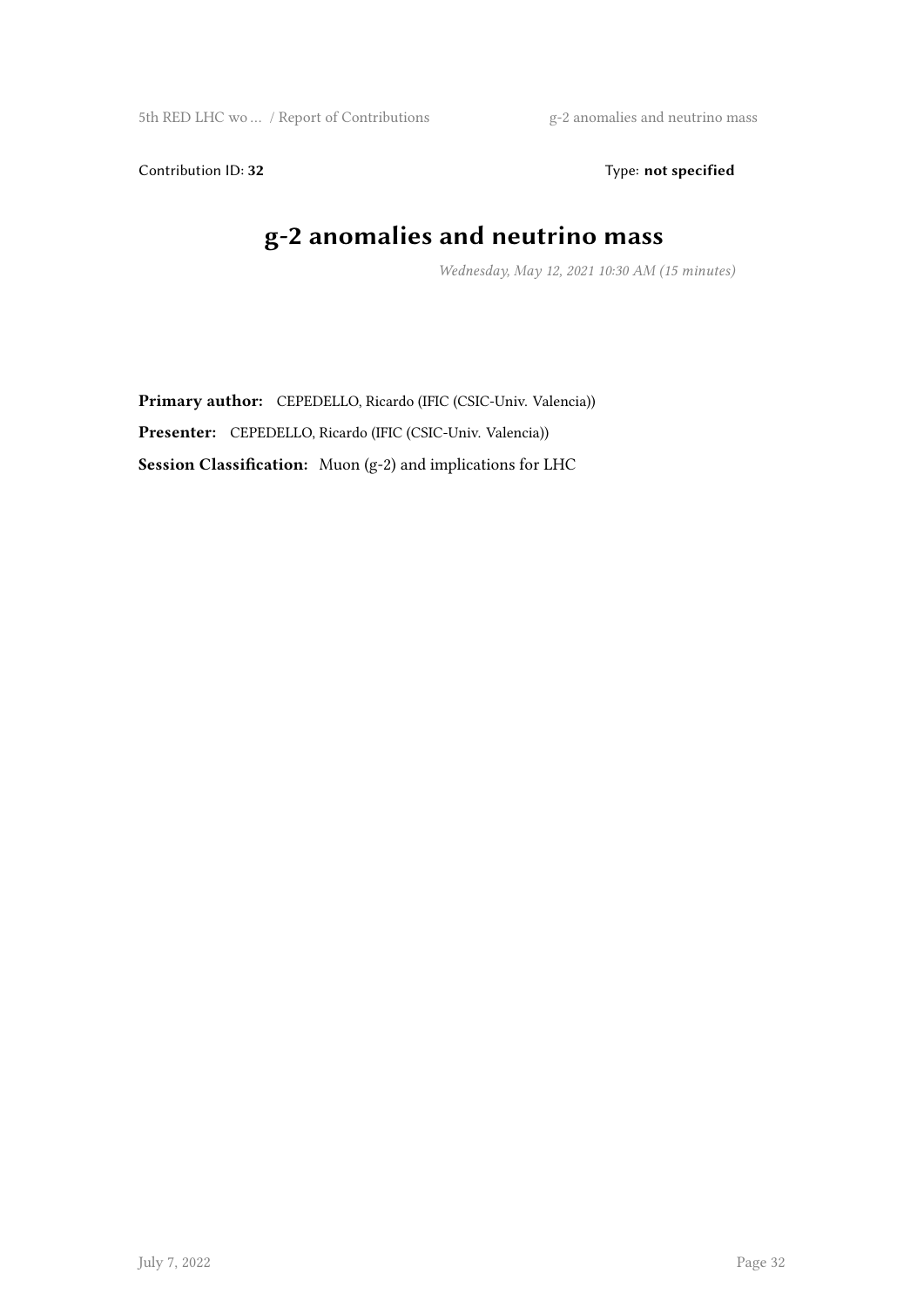5th RED LHC wo ... / Report of Contributions g-2 anomalies and neutrino mass

Contribution ID: 32 Type: **not specified** 

## **g-2 anomalies and neutrino mass**

*Wednesday, May 12, 2021 10:30 AM (15 minutes)*

**Primary author:** CEPEDELLO, Ricardo (IFIC (CSIC-Univ. Valencia)) **Presenter:** CEPEDELLO, Ricardo (IFIC (CSIC-Univ. Valencia)) **Session Classification:** Muon (g-2) and implications for LHC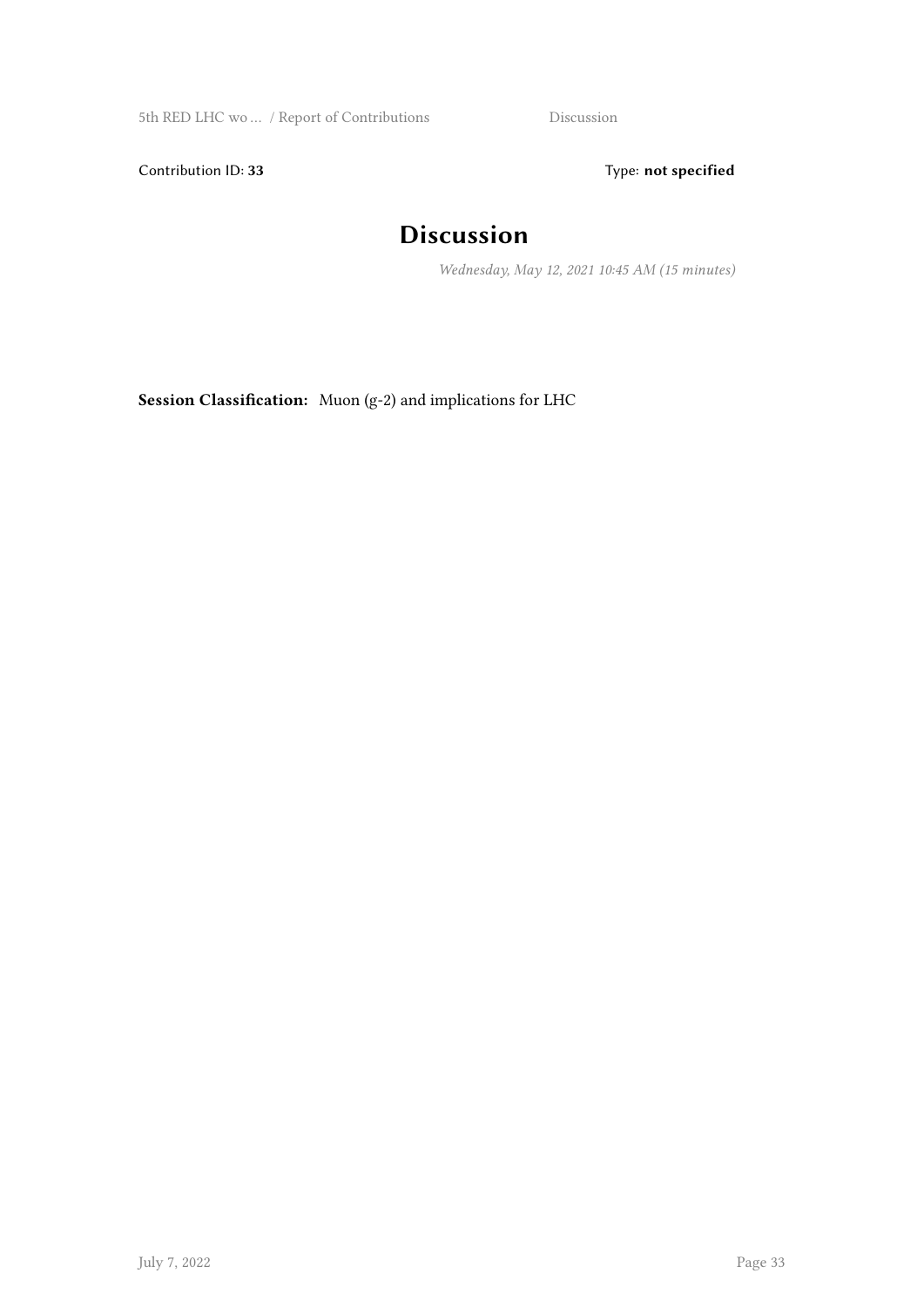5th RED LHC wo … / Report of Contributions Discussion

Contribution ID: 33 Type: **not specified** 

#### **Discussion**

*Wednesday, May 12, 2021 10:45 AM (15 minutes)*

**Session Classification:** Muon (g-2) and implications for LHC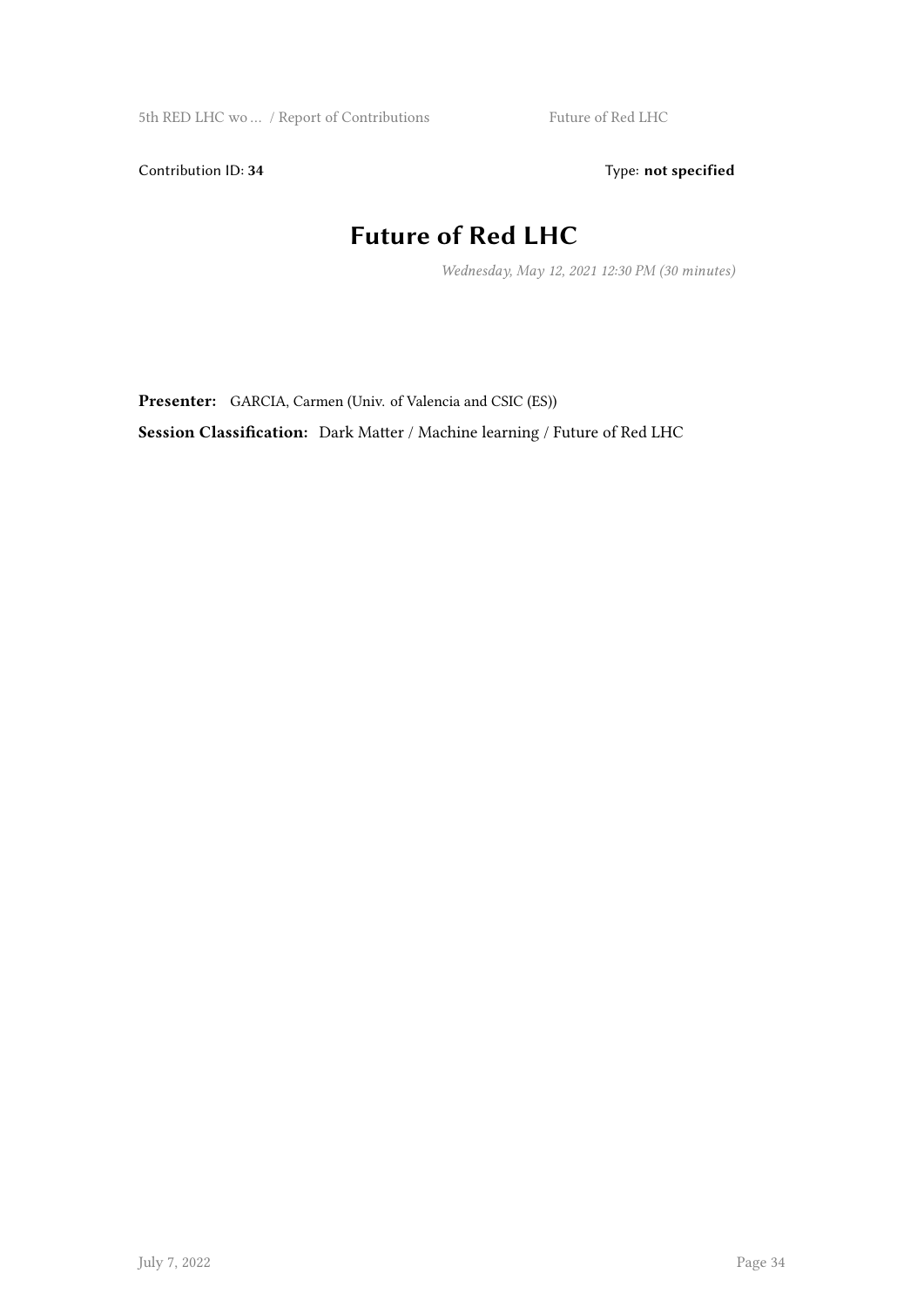Contribution ID: 34 Type: **not specified** 

## **Future of Red LHC**

*Wednesday, May 12, 2021 12:30 PM (30 minutes)*

**Presenter:** GARCIA, Carmen (Univ. of Valencia and CSIC (ES))

**Session Classification:** Dark Matter / Machine learning / Future of Red LHC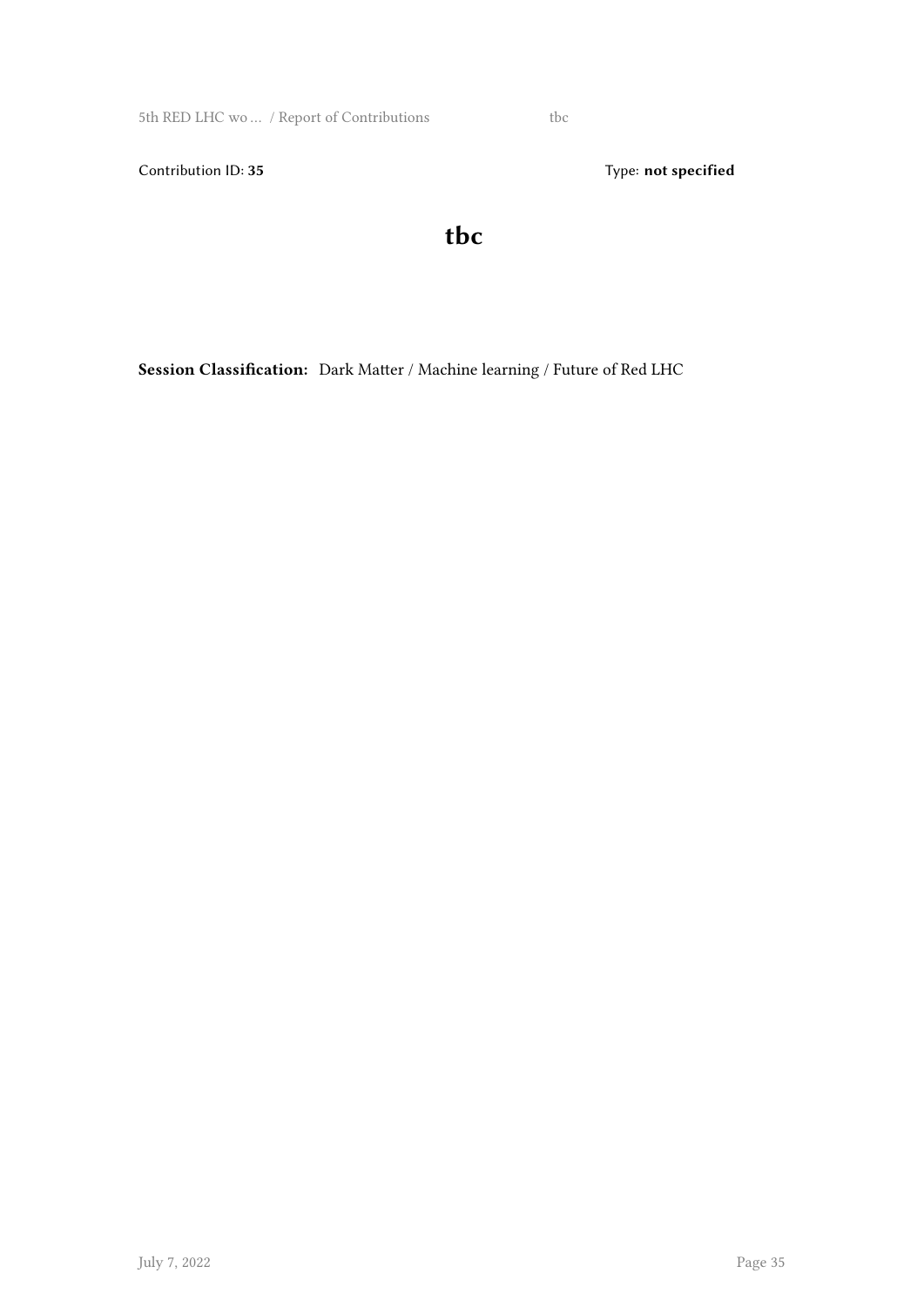5th RED LHC wo … / Report of Contributions tbc

Contribution ID: 35 Type: **not specified** 

**tbc**

**Session Classification:** Dark Matter / Machine learning / Future of Red LHC